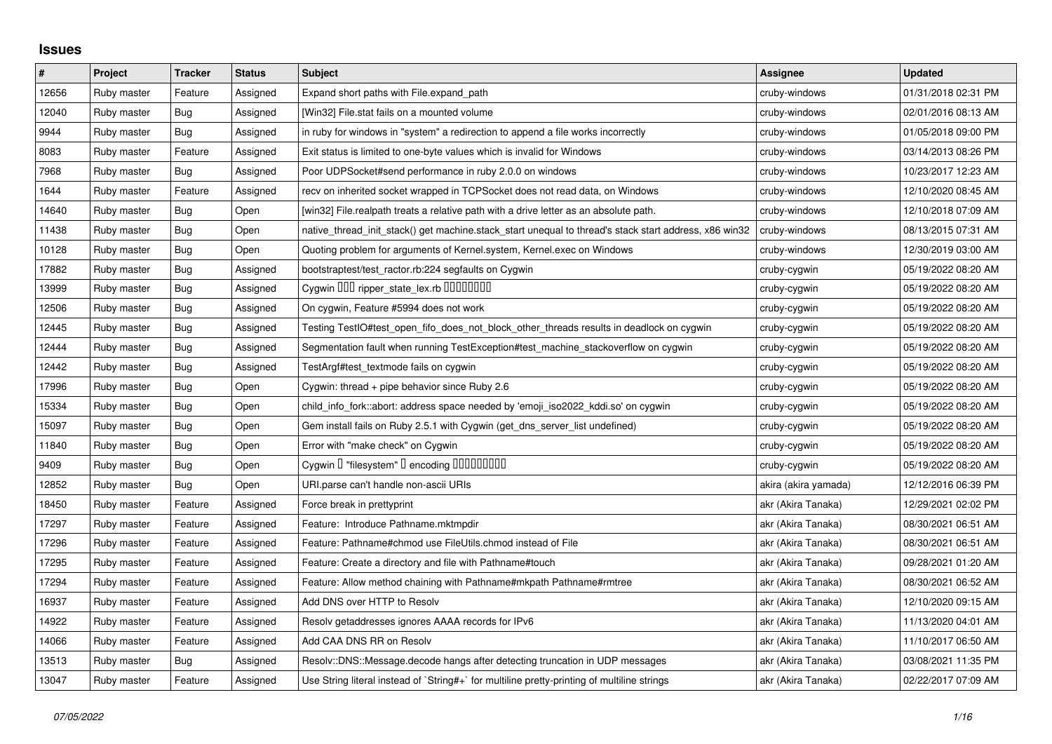## **Issues**

| $\pmb{\#}$ | Project     | <b>Tracker</b> | <b>Status</b> | <b>Subject</b>                                                                                        | Assignee             | <b>Updated</b>      |
|------------|-------------|----------------|---------------|-------------------------------------------------------------------------------------------------------|----------------------|---------------------|
| 12656      | Ruby master | Feature        | Assigned      | Expand short paths with File.expand_path                                                              | cruby-windows        | 01/31/2018 02:31 PM |
| 12040      | Ruby master | Bug            | Assigned      | [Win32] File.stat fails on a mounted volume                                                           | cruby-windows        | 02/01/2016 08:13 AM |
| 9944       | Ruby master | Bug            | Assigned      | in ruby for windows in "system" a redirection to append a file works incorrectly                      | cruby-windows        | 01/05/2018 09:00 PM |
| 8083       | Ruby master | Feature        | Assigned      | Exit status is limited to one-byte values which is invalid for Windows                                | cruby-windows        | 03/14/2013 08:26 PM |
| 7968       | Ruby master | Bug            | Assigned      | Poor UDPSocket#send performance in ruby 2.0.0 on windows                                              | cruby-windows        | 10/23/2017 12:23 AM |
| 1644       | Ruby master | Feature        | Assigned      | recv on inherited socket wrapped in TCPSocket does not read data, on Windows                          | cruby-windows        | 12/10/2020 08:45 AM |
| 14640      | Ruby master | Bug            | Open          | [win32] File.realpath treats a relative path with a drive letter as an absolute path.                 | cruby-windows        | 12/10/2018 07:09 AM |
| 11438      | Ruby master | Bug            | Open          | native_thread_init_stack() get machine.stack_start unequal to thread's stack start address, x86 win32 | cruby-windows        | 08/13/2015 07:31 AM |
| 10128      | Ruby master | Bug            | Open          | Quoting problem for arguments of Kernel.system, Kernel.exec on Windows                                | cruby-windows        | 12/30/2019 03:00 AM |
| 17882      | Ruby master | Bug            | Assigned      | bootstraptest/test_ractor.rb:224 segfaults on Cygwin                                                  | cruby-cygwin         | 05/19/2022 08:20 AM |
| 13999      | Ruby master | Bug            | Assigned      | Cygwin 000 ripper_state_lex.rb 0000000                                                                | cruby-cygwin         | 05/19/2022 08:20 AM |
| 12506      | Ruby master | Bug            | Assigned      | On cygwin, Feature #5994 does not work                                                                | cruby-cygwin         | 05/19/2022 08:20 AM |
| 12445      | Ruby master | Bug            | Assigned      | Testing TestIO#test_open_fifo_does_not_block_other_threads results in deadlock on cygwin              | cruby-cygwin         | 05/19/2022 08:20 AM |
| 12444      | Ruby master | Bug            | Assigned      | Segmentation fault when running TestException#test_machine_stackoverflow on cygwin                    | cruby-cygwin         | 05/19/2022 08:20 AM |
| 12442      | Ruby master | <b>Bug</b>     | Assigned      | TestArgf#test_textmode fails on cygwin                                                                | cruby-cygwin         | 05/19/2022 08:20 AM |
| 17996      | Ruby master | Bug            | Open          | Cygwin: thread + pipe behavior since Ruby 2.6                                                         | cruby-cygwin         | 05/19/2022 08:20 AM |
| 15334      | Ruby master | Bug            | Open          | child info fork::abort: address space needed by 'emoji iso2022 kddi.so' on cygwin                     | cruby-cygwin         | 05/19/2022 08:20 AM |
| 15097      | Ruby master | <b>Bug</b>     | Open          | Gem install fails on Ruby 2.5.1 with Cygwin (get_dns_server_list undefined)                           | cruby-cygwin         | 05/19/2022 08:20 AM |
| 11840      | Ruby master | <b>Bug</b>     | Open          | Error with "make check" on Cygwin                                                                     | cruby-cygwin         | 05/19/2022 08:20 AM |
| 9409       | Ruby master | <b>Bug</b>     | Open          | Cygwin I "filesystem" I encoding IIIIIIIIIIIII                                                        | cruby-cygwin         | 05/19/2022 08:20 AM |
| 12852      | Ruby master | Bug            | Open          | URI.parse can't handle non-ascii URIs                                                                 | akira (akira yamada) | 12/12/2016 06:39 PM |
| 18450      | Ruby master | Feature        | Assigned      | Force break in prettyprint                                                                            | akr (Akira Tanaka)   | 12/29/2021 02:02 PM |
| 17297      | Ruby master | Feature        | Assigned      | Feature: Introduce Pathname.mktmpdir                                                                  | akr (Akira Tanaka)   | 08/30/2021 06:51 AM |
| 17296      | Ruby master | Feature        | Assigned      | Feature: Pathname#chmod use FileUtils.chmod instead of File                                           | akr (Akira Tanaka)   | 08/30/2021 06:51 AM |
| 17295      | Ruby master | Feature        | Assigned      | Feature: Create a directory and file with Pathname#touch                                              | akr (Akira Tanaka)   | 09/28/2021 01:20 AM |
| 17294      | Ruby master | Feature        | Assigned      | Feature: Allow method chaining with Pathname#mkpath Pathname#rmtree                                   | akr (Akira Tanaka)   | 08/30/2021 06:52 AM |
| 16937      | Ruby master | Feature        | Assigned      | Add DNS over HTTP to Resolv                                                                           | akr (Akira Tanaka)   | 12/10/2020 09:15 AM |
| 14922      | Ruby master | Feature        | Assigned      | Resolv getaddresses ignores AAAA records for IPv6                                                     | akr (Akira Tanaka)   | 11/13/2020 04:01 AM |
| 14066      | Ruby master | Feature        | Assigned      | Add CAA DNS RR on Resolv                                                                              | akr (Akira Tanaka)   | 11/10/2017 06:50 AM |
| 13513      | Ruby master | Bug            | Assigned      | Resolv::DNS::Message.decode hangs after detecting truncation in UDP messages                          | akr (Akira Tanaka)   | 03/08/2021 11:35 PM |
| 13047      | Ruby master | Feature        | Assigned      | Use String literal instead of `String#+` for multiline pretty-printing of multiline strings           | akr (Akira Tanaka)   | 02/22/2017 07:09 AM |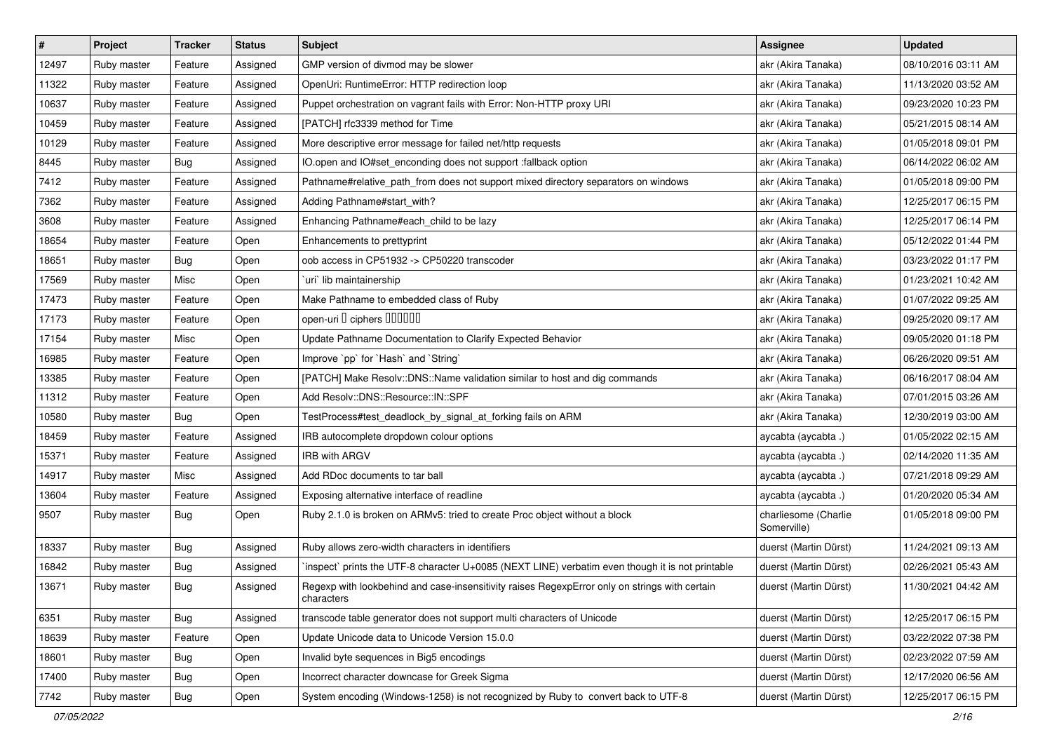| $\pmb{\#}$ | Project     | <b>Tracker</b> | <b>Status</b> | Subject                                                                                                     | Assignee                            | <b>Updated</b>      |
|------------|-------------|----------------|---------------|-------------------------------------------------------------------------------------------------------------|-------------------------------------|---------------------|
| 12497      | Ruby master | Feature        | Assigned      | GMP version of divmod may be slower                                                                         | akr (Akira Tanaka)                  | 08/10/2016 03:11 AM |
| 11322      | Ruby master | Feature        | Assigned      | OpenUri: RuntimeError: HTTP redirection loop                                                                | akr (Akira Tanaka)                  | 11/13/2020 03:52 AM |
| 10637      | Ruby master | Feature        | Assigned      | Puppet orchestration on vagrant fails with Error: Non-HTTP proxy URI                                        | akr (Akira Tanaka)                  | 09/23/2020 10:23 PM |
| 10459      | Ruby master | Feature        | Assigned      | [PATCH] rfc3339 method for Time                                                                             | akr (Akira Tanaka)                  | 05/21/2015 08:14 AM |
| 10129      | Ruby master | Feature        | Assigned      | More descriptive error message for failed net/http requests                                                 | akr (Akira Tanaka)                  | 01/05/2018 09:01 PM |
| 8445       | Ruby master | Bug            | Assigned      | IO.open and IO#set_enconding does not support :fallback option                                              | akr (Akira Tanaka)                  | 06/14/2022 06:02 AM |
| 7412       | Ruby master | Feature        | Assigned      | Pathname#relative_path_from does not support mixed directory separators on windows                          | akr (Akira Tanaka)                  | 01/05/2018 09:00 PM |
| 7362       | Ruby master | Feature        | Assigned      | Adding Pathname#start_with?                                                                                 | akr (Akira Tanaka)                  | 12/25/2017 06:15 PM |
| 3608       | Ruby master | Feature        | Assigned      | Enhancing Pathname#each_child to be lazy                                                                    | akr (Akira Tanaka)                  | 12/25/2017 06:14 PM |
| 18654      | Ruby master | Feature        | Open          | Enhancements to prettyprint                                                                                 | akr (Akira Tanaka)                  | 05/12/2022 01:44 PM |
| 18651      | Ruby master | Bug            | Open          | oob access in CP51932 -> CP50220 transcoder                                                                 | akr (Akira Tanaka)                  | 03/23/2022 01:17 PM |
| 17569      | Ruby master | Misc           | Open          | uri lib maintainership                                                                                      | akr (Akira Tanaka)                  | 01/23/2021 10:42 AM |
| 17473      | Ruby master | Feature        | Open          | Make Pathname to embedded class of Ruby                                                                     | akr (Akira Tanaka)                  | 01/07/2022 09:25 AM |
| 17173      | Ruby master | Feature        | Open          | open-uri D ciphers DOODOO                                                                                   | akr (Akira Tanaka)                  | 09/25/2020 09:17 AM |
| 17154      | Ruby master | Misc           | Open          | Update Pathname Documentation to Clarify Expected Behavior                                                  | akr (Akira Tanaka)                  | 09/05/2020 01:18 PM |
| 16985      | Ruby master | Feature        | Open          | Improve `pp` for `Hash` and `String`                                                                        | akr (Akira Tanaka)                  | 06/26/2020 09:51 AM |
| 13385      | Ruby master | Feature        | Open          | [PATCH] Make Resolv::DNS::Name validation similar to host and dig commands                                  | akr (Akira Tanaka)                  | 06/16/2017 08:04 AM |
| 11312      | Ruby master | Feature        | Open          | Add Resolv::DNS::Resource::IN::SPF                                                                          | akr (Akira Tanaka)                  | 07/01/2015 03:26 AM |
| 10580      | Ruby master | Bug            | Open          | TestProcess#test_deadlock_by_signal_at_forking fails on ARM                                                 | akr (Akira Tanaka)                  | 12/30/2019 03:00 AM |
| 18459      | Ruby master | Feature        | Assigned      | IRB autocomplete dropdown colour options                                                                    | aycabta (aycabta.)                  | 01/05/2022 02:15 AM |
| 15371      | Ruby master | Feature        | Assigned      | <b>IRB with ARGV</b>                                                                                        | aycabta (aycabta .)                 | 02/14/2020 11:35 AM |
| 14917      | Ruby master | Misc           | Assigned      | Add RDoc documents to tar ball                                                                              | aycabta (aycabta.)                  | 07/21/2018 09:29 AM |
| 13604      | Ruby master | Feature        | Assigned      | Exposing alternative interface of readline                                                                  | aycabta (aycabta .)                 | 01/20/2020 05:34 AM |
| 9507       | Ruby master | Bug            | Open          | Ruby 2.1.0 is broken on ARMv5: tried to create Proc object without a block                                  | charliesome (Charlie<br>Somerville) | 01/05/2018 09:00 PM |
| 18337      | Ruby master | Bug            | Assigned      | Ruby allows zero-width characters in identifiers                                                            | duerst (Martin Dürst)               | 11/24/2021 09:13 AM |
| 16842      | Ruby master | <b>Bug</b>     | Assigned      | inspect` prints the UTF-8 character U+0085 (NEXT LINE) verbatim even though it is not printable             | duerst (Martin Dürst)               | 02/26/2021 05:43 AM |
| 13671      | Ruby master | <b>Bug</b>     | Assigned      | Regexp with lookbehind and case-insensitivity raises RegexpError only on strings with certain<br>characters | duerst (Martin Dürst)               | 11/30/2021 04:42 AM |
| 6351       | Ruby master | <b>Bug</b>     | Assigned      | transcode table generator does not support multi characters of Unicode                                      | duerst (Martin Dürst)               | 12/25/2017 06:15 PM |
| 18639      | Ruby master | Feature        | Open          | Update Unicode data to Unicode Version 15.0.0                                                               | duerst (Martin Dürst)               | 03/22/2022 07:38 PM |
| 18601      | Ruby master | Bug            | Open          | Invalid byte sequences in Big5 encodings                                                                    | duerst (Martin Dürst)               | 02/23/2022 07:59 AM |
| 17400      | Ruby master | Bug            | Open          | Incorrect character downcase for Greek Sigma                                                                | duerst (Martin Dürst)               | 12/17/2020 06:56 AM |
| 7742       | Ruby master | Bug            | Open          | System encoding (Windows-1258) is not recognized by Ruby to convert back to UTF-8                           | duerst (Martin Dürst)               | 12/25/2017 06:15 PM |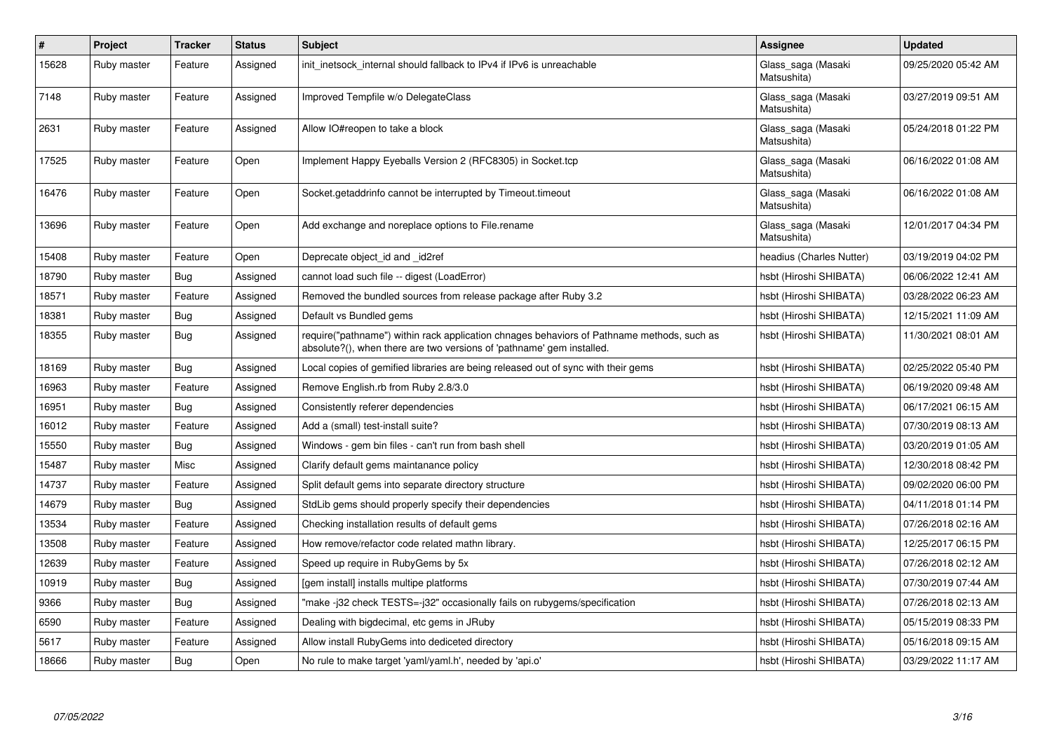| $\vert$ # | Project     | <b>Tracker</b> | <b>Status</b> | <b>Subject</b>                                                                                                                                                      | Assignee                          | <b>Updated</b>      |
|-----------|-------------|----------------|---------------|---------------------------------------------------------------------------------------------------------------------------------------------------------------------|-----------------------------------|---------------------|
| 15628     | Ruby master | Feature        | Assigned      | init inetsock internal should fallback to IPv4 if IPv6 is unreachable                                                                                               | Glass_saga (Masaki<br>Matsushita) | 09/25/2020 05:42 AM |
| 7148      | Ruby master | Feature        | Assigned      | Improved Tempfile w/o DelegateClass                                                                                                                                 | Glass_saga (Masaki<br>Matsushita) | 03/27/2019 09:51 AM |
| 2631      | Ruby master | Feature        | Assigned      | Allow IO#reopen to take a block                                                                                                                                     | Glass_saga (Masaki<br>Matsushita) | 05/24/2018 01:22 PM |
| 17525     | Ruby master | Feature        | Open          | Implement Happy Eyeballs Version 2 (RFC8305) in Socket.tcp                                                                                                          | Glass_saga (Masaki<br>Matsushita) | 06/16/2022 01:08 AM |
| 16476     | Ruby master | Feature        | Open          | Socket.getaddrinfo cannot be interrupted by Timeout.timeout                                                                                                         | Glass_saga (Masaki<br>Matsushita) | 06/16/2022 01:08 AM |
| 13696     | Ruby master | Feature        | Open          | Add exchange and noreplace options to File.rename                                                                                                                   | Glass_saga (Masaki<br>Matsushita) | 12/01/2017 04:34 PM |
| 15408     | Ruby master | Feature        | Open          | Deprecate object_id and _id2ref                                                                                                                                     | headius (Charles Nutter)          | 03/19/2019 04:02 PM |
| 18790     | Ruby master | Bug            | Assigned      | cannot load such file -- digest (LoadError)                                                                                                                         | hsbt (Hiroshi SHIBATA)            | 06/06/2022 12:41 AM |
| 18571     | Ruby master | Feature        | Assigned      | Removed the bundled sources from release package after Ruby 3.2                                                                                                     | hsbt (Hiroshi SHIBATA)            | 03/28/2022 06:23 AM |
| 18381     | Ruby master | Bug            | Assigned      | Default vs Bundled gems                                                                                                                                             | hsbt (Hiroshi SHIBATA)            | 12/15/2021 11:09 AM |
| 18355     | Ruby master | Bug            | Assigned      | require("pathname") within rack application chnages behaviors of Pathname methods, such as<br>absolute?(), when there are two versions of 'pathname' gem installed. | hsbt (Hiroshi SHIBATA)            | 11/30/2021 08:01 AM |
| 18169     | Ruby master | Bug            | Assigned      | Local copies of gemified libraries are being released out of sync with their gems                                                                                   | hsbt (Hiroshi SHIBATA)            | 02/25/2022 05:40 PM |
| 16963     | Ruby master | Feature        | Assigned      | Remove English.rb from Ruby 2.8/3.0                                                                                                                                 | hsbt (Hiroshi SHIBATA)            | 06/19/2020 09:48 AM |
| 16951     | Ruby master | <b>Bug</b>     | Assigned      | Consistently referer dependencies                                                                                                                                   | hsbt (Hiroshi SHIBATA)            | 06/17/2021 06:15 AM |
| 16012     | Ruby master | Feature        | Assigned      | Add a (small) test-install suite?                                                                                                                                   | hsbt (Hiroshi SHIBATA)            | 07/30/2019 08:13 AM |
| 15550     | Ruby master | <b>Bug</b>     | Assigned      | Windows - gem bin files - can't run from bash shell                                                                                                                 | hsbt (Hiroshi SHIBATA)            | 03/20/2019 01:05 AM |
| 15487     | Ruby master | Misc           | Assigned      | Clarify default gems maintanance policy                                                                                                                             | hsbt (Hiroshi SHIBATA)            | 12/30/2018 08:42 PM |
| 14737     | Ruby master | Feature        | Assigned      | Split default gems into separate directory structure                                                                                                                | hsbt (Hiroshi SHIBATA)            | 09/02/2020 06:00 PM |
| 14679     | Ruby master | Bug            | Assigned      | StdLib gems should properly specify their dependencies                                                                                                              | hsbt (Hiroshi SHIBATA)            | 04/11/2018 01:14 PM |
| 13534     | Ruby master | Feature        | Assigned      | Checking installation results of default gems                                                                                                                       | hsbt (Hiroshi SHIBATA)            | 07/26/2018 02:16 AM |
| 13508     | Ruby master | Feature        | Assigned      | How remove/refactor code related mathn library.                                                                                                                     | hsbt (Hiroshi SHIBATA)            | 12/25/2017 06:15 PM |
| 12639     | Ruby master | Feature        | Assigned      | Speed up require in RubyGems by 5x                                                                                                                                  | hsbt (Hiroshi SHIBATA)            | 07/26/2018 02:12 AM |
| 10919     | Ruby master | Bug            | Assigned      | [gem install] installs multipe platforms                                                                                                                            | hsbt (Hiroshi SHIBATA)            | 07/30/2019 07:44 AM |
| 9366      | Ruby master | <b>Bug</b>     | Assigned      | "make -j32 check TESTS=-j32" occasionally fails on rubygems/specification                                                                                           | hsbt (Hiroshi SHIBATA)            | 07/26/2018 02:13 AM |
| 6590      | Ruby master | Feature        | Assigned      | Dealing with bigdecimal, etc gems in JRuby                                                                                                                          | hsbt (Hiroshi SHIBATA)            | 05/15/2019 08:33 PM |
| 5617      | Ruby master | Feature        | Assigned      | Allow install RubyGems into dediceted directory                                                                                                                     | hsbt (Hiroshi SHIBATA)            | 05/16/2018 09:15 AM |
| 18666     | Ruby master | Bug            | Open          | No rule to make target 'yaml/yaml.h', needed by 'api.o'                                                                                                             | hsbt (Hiroshi SHIBATA)            | 03/29/2022 11:17 AM |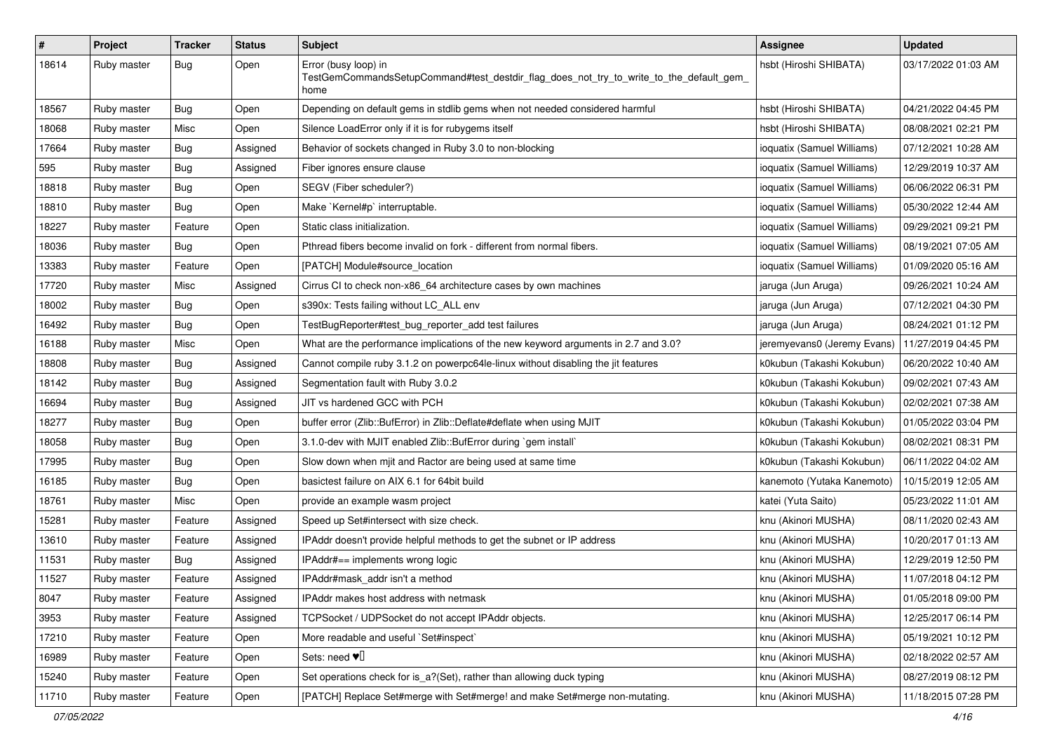| $\pmb{\#}$ | Project     | <b>Tracker</b> | <b>Status</b> | <b>Subject</b>                                                                                                          | <b>Assignee</b>             | <b>Updated</b>      |
|------------|-------------|----------------|---------------|-------------------------------------------------------------------------------------------------------------------------|-----------------------------|---------------------|
| 18614      | Ruby master | Bug            | Open          | Error (busy loop) in<br>TestGemCommandsSetupCommand#test_destdir_flag_does_not_try_to_write_to_the_default_gem_<br>home | hsbt (Hiroshi SHIBATA)      | 03/17/2022 01:03 AM |
| 18567      | Ruby master | Bug            | Open          | Depending on default gems in stdlib gems when not needed considered harmful                                             | hsbt (Hiroshi SHIBATA)      | 04/21/2022 04:45 PM |
| 18068      | Ruby master | Misc           | Open          | Silence LoadError only if it is for rubygems itself                                                                     | hsbt (Hiroshi SHIBATA)      | 08/08/2021 02:21 PM |
| 17664      | Ruby master | Bug            | Assigned      | Behavior of sockets changed in Ruby 3.0 to non-blocking                                                                 | ioquatix (Samuel Williams)  | 07/12/2021 10:28 AM |
| 595        | Ruby master | Bug            | Assigned      | Fiber ignores ensure clause                                                                                             | ioquatix (Samuel Williams)  | 12/29/2019 10:37 AM |
| 18818      | Ruby master | <b>Bug</b>     | Open          | SEGV (Fiber scheduler?)                                                                                                 | ioquatix (Samuel Williams)  | 06/06/2022 06:31 PM |
| 18810      | Ruby master | Bug            | Open          | Make `Kernel#p` interruptable.                                                                                          | ioquatix (Samuel Williams)  | 05/30/2022 12:44 AM |
| 18227      | Ruby master | Feature        | Open          | Static class initialization.                                                                                            | ioquatix (Samuel Williams)  | 09/29/2021 09:21 PM |
| 18036      | Ruby master | Bug            | Open          | Pthread fibers become invalid on fork - different from normal fibers.                                                   | ioquatix (Samuel Williams)  | 08/19/2021 07:05 AM |
| 13383      | Ruby master | Feature        | Open          | [PATCH] Module#source_location                                                                                          | ioquatix (Samuel Williams)  | 01/09/2020 05:16 AM |
| 17720      | Ruby master | Misc           | Assigned      | Cirrus CI to check non-x86_64 architecture cases by own machines                                                        | jaruga (Jun Aruga)          | 09/26/2021 10:24 AM |
| 18002      | Ruby master | Bug            | Open          | s390x: Tests failing without LC ALL env                                                                                 | jaruga (Jun Aruga)          | 07/12/2021 04:30 PM |
| 16492      | Ruby master | Bug            | Open          | TestBugReporter#test_bug_reporter_add test failures                                                                     | jaruga (Jun Aruga)          | 08/24/2021 01:12 PM |
| 16188      | Ruby master | Misc           | Open          | What are the performance implications of the new keyword arguments in 2.7 and 3.0?                                      | jeremyevans0 (Jeremy Evans) | 11/27/2019 04:45 PM |
| 18808      | Ruby master | Bug            | Assigned      | Cannot compile ruby 3.1.2 on powerpc64le-linux without disabling the jit features                                       | k0kubun (Takashi Kokubun)   | 06/20/2022 10:40 AM |
| 18142      | Ruby master | Bug            | Assigned      | Segmentation fault with Ruby 3.0.2                                                                                      | k0kubun (Takashi Kokubun)   | 09/02/2021 07:43 AM |
| 16694      | Ruby master | Bug            | Assigned      | JIT vs hardened GCC with PCH                                                                                            | k0kubun (Takashi Kokubun)   | 02/02/2021 07:38 AM |
| 18277      | Ruby master | Bug            | Open          | buffer error (Zlib::BufError) in Zlib::Deflate#deflate when using MJIT                                                  | k0kubun (Takashi Kokubun)   | 01/05/2022 03:04 PM |
| 18058      | Ruby master | Bug            | Open          | 3.1.0-dev with MJIT enabled Zlib::BufError during `gem install`                                                         | k0kubun (Takashi Kokubun)   | 08/02/2021 08:31 PM |
| 17995      | Ruby master | Bug            | Open          | Slow down when mjit and Ractor are being used at same time                                                              | k0kubun (Takashi Kokubun)   | 06/11/2022 04:02 AM |
| 16185      | Ruby master | <b>Bug</b>     | Open          | basictest failure on AIX 6.1 for 64bit build                                                                            | kanemoto (Yutaka Kanemoto)  | 10/15/2019 12:05 AM |
| 18761      | Ruby master | Misc           | Open          | provide an example wasm project                                                                                         | katei (Yuta Saito)          | 05/23/2022 11:01 AM |
| 15281      | Ruby master | Feature        | Assigned      | Speed up Set#intersect with size check.                                                                                 | knu (Akinori MUSHA)         | 08/11/2020 02:43 AM |
| 13610      | Ruby master | Feature        | Assigned      | IPAddr doesn't provide helpful methods to get the subnet or IP address                                                  | knu (Akinori MUSHA)         | 10/20/2017 01:13 AM |
| 11531      | Ruby master | <b>Bug</b>     | Assigned      | IPAddr#== implements wrong logic                                                                                        | knu (Akinori MUSHA)         | 12/29/2019 12:50 PM |
| 11527      | Ruby master | Feature        | Assigned      | IPAddr#mask_addr isn't a method                                                                                         | knu (Akinori MUSHA)         | 11/07/2018 04:12 PM |
| 8047       | Ruby master | Feature        | Assigned      | IPAddr makes host address with netmask                                                                                  | knu (Akinori MUSHA)         | 01/05/2018 09:00 PM |
| 3953       | Ruby master | Feature        | Assigned      | TCPSocket / UDPSocket do not accept IPAddr objects.                                                                     | knu (Akinori MUSHA)         | 12/25/2017 06:14 PM |
| 17210      | Ruby master | Feature        | Open          | More readable and useful `Set#inspect`                                                                                  | knu (Akinori MUSHA)         | 05/19/2021 10:12 PM |
| 16989      | Ruby master | Feature        | Open          | Sets: need $\Psi$ <sup><math>\Box</math></sup>                                                                          | knu (Akinori MUSHA)         | 02/18/2022 02:57 AM |
| 15240      | Ruby master | Feature        | Open          | Set operations check for is_a?(Set), rather than allowing duck typing                                                   | knu (Akinori MUSHA)         | 08/27/2019 08:12 PM |
| 11710      | Ruby master | Feature        | Open          | [PATCH] Replace Set#merge with Set#merge! and make Set#merge non-mutating.                                              | knu (Akinori MUSHA)         | 11/18/2015 07:28 PM |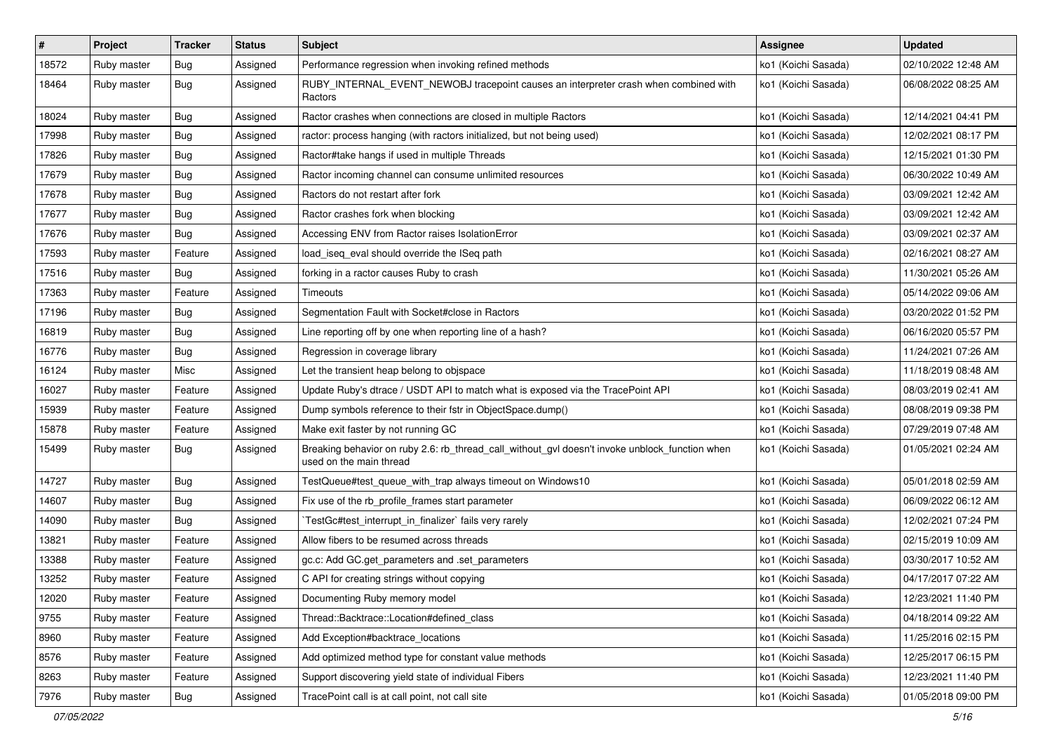| #     | Project     | <b>Tracker</b> | <b>Status</b> | <b>Subject</b>                                                                                                            | Assignee            | <b>Updated</b>      |
|-------|-------------|----------------|---------------|---------------------------------------------------------------------------------------------------------------------------|---------------------|---------------------|
| 18572 | Ruby master | <b>Bug</b>     | Assigned      | Performance regression when invoking refined methods                                                                      | ko1 (Koichi Sasada) | 02/10/2022 12:48 AM |
| 18464 | Ruby master | Bug            | Assigned      | RUBY_INTERNAL_EVENT_NEWOBJ tracepoint causes an interpreter crash when combined with<br>Ractors                           | ko1 (Koichi Sasada) | 06/08/2022 08:25 AM |
| 18024 | Ruby master | Bug            | Assigned      | Ractor crashes when connections are closed in multiple Ractors                                                            | ko1 (Koichi Sasada) | 12/14/2021 04:41 PM |
| 17998 | Ruby master | Bug            | Assigned      | ractor: process hanging (with ractors initialized, but not being used)                                                    | ko1 (Koichi Sasada) | 12/02/2021 08:17 PM |
| 17826 | Ruby master | <b>Bug</b>     | Assigned      | Ractor#take hangs if used in multiple Threads                                                                             | ko1 (Koichi Sasada) | 12/15/2021 01:30 PM |
| 17679 | Ruby master | Bug            | Assigned      | Ractor incoming channel can consume unlimited resources                                                                   | ko1 (Koichi Sasada) | 06/30/2022 10:49 AM |
| 17678 | Ruby master | Bug            | Assigned      | Ractors do not restart after fork                                                                                         | ko1 (Koichi Sasada) | 03/09/2021 12:42 AM |
| 17677 | Ruby master | <b>Bug</b>     | Assigned      | Ractor crashes fork when blocking                                                                                         | ko1 (Koichi Sasada) | 03/09/2021 12:42 AM |
| 17676 | Ruby master | Bug            | Assigned      | Accessing ENV from Ractor raises IsolationError                                                                           | ko1 (Koichi Sasada) | 03/09/2021 02:37 AM |
| 17593 | Ruby master | Feature        | Assigned      | load_iseq_eval should override the ISeq path                                                                              | ko1 (Koichi Sasada) | 02/16/2021 08:27 AM |
| 17516 | Ruby master | Bug            | Assigned      | forking in a ractor causes Ruby to crash                                                                                  | ko1 (Koichi Sasada) | 11/30/2021 05:26 AM |
| 17363 | Ruby master | Feature        | Assigned      | Timeouts                                                                                                                  | ko1 (Koichi Sasada) | 05/14/2022 09:06 AM |
| 17196 | Ruby master | Bug            | Assigned      | Segmentation Fault with Socket#close in Ractors                                                                           | ko1 (Koichi Sasada) | 03/20/2022 01:52 PM |
| 16819 | Ruby master | Bug            | Assigned      | Line reporting off by one when reporting line of a hash?                                                                  | ko1 (Koichi Sasada) | 06/16/2020 05:57 PM |
| 16776 | Ruby master | Bug            | Assigned      | Regression in coverage library                                                                                            | ko1 (Koichi Sasada) | 11/24/2021 07:26 AM |
| 16124 | Ruby master | Misc           | Assigned      | Let the transient heap belong to objspace                                                                                 | ko1 (Koichi Sasada) | 11/18/2019 08:48 AM |
| 16027 | Ruby master | Feature        | Assigned      | Update Ruby's dtrace / USDT API to match what is exposed via the TracePoint API                                           | ko1 (Koichi Sasada) | 08/03/2019 02:41 AM |
| 15939 | Ruby master | Feature        | Assigned      | Dump symbols reference to their fstr in ObjectSpace.dump()                                                                | ko1 (Koichi Sasada) | 08/08/2019 09:38 PM |
| 15878 | Ruby master | Feature        | Assigned      | Make exit faster by not running GC                                                                                        | ko1 (Koichi Sasada) | 07/29/2019 07:48 AM |
| 15499 | Ruby master | Bug            | Assigned      | Breaking behavior on ruby 2.6: rb_thread_call_without_gvl doesn't invoke unblock_function when<br>used on the main thread | ko1 (Koichi Sasada) | 01/05/2021 02:24 AM |
| 14727 | Ruby master | Bug            | Assigned      | TestQueue#test_queue_with_trap always timeout on Windows10                                                                | ko1 (Koichi Sasada) | 05/01/2018 02:59 AM |
| 14607 | Ruby master | Bug            | Assigned      | Fix use of the rb_profile_frames start parameter                                                                          | ko1 (Koichi Sasada) | 06/09/2022 06:12 AM |
| 14090 | Ruby master | Bug            | Assigned      | TestGc#test_interrupt_in_finalizer` fails very rarely                                                                     | ko1 (Koichi Sasada) | 12/02/2021 07:24 PM |
| 13821 | Ruby master | Feature        | Assigned      | Allow fibers to be resumed across threads                                                                                 | ko1 (Koichi Sasada) | 02/15/2019 10:09 AM |
| 13388 | Ruby master | Feature        | Assigned      | gc.c: Add GC.get_parameters and .set_parameters                                                                           | ko1 (Koichi Sasada) | 03/30/2017 10:52 AM |
| 13252 | Ruby master | Feature        | Assigned      | C API for creating strings without copying                                                                                | ko1 (Koichi Sasada) | 04/17/2017 07:22 AM |
| 12020 | Ruby master | Feature        | Assigned      | Documenting Ruby memory model                                                                                             | ko1 (Koichi Sasada) | 12/23/2021 11:40 PM |
| 9755  | Ruby master | Feature        | Assigned      | Thread::Backtrace::Location#defined class                                                                                 | ko1 (Koichi Sasada) | 04/18/2014 09:22 AM |
| 8960  | Ruby master | Feature        | Assigned      | Add Exception#backtrace_locations                                                                                         | ko1 (Koichi Sasada) | 11/25/2016 02:15 PM |
| 8576  | Ruby master | Feature        | Assigned      | Add optimized method type for constant value methods                                                                      | ko1 (Koichi Sasada) | 12/25/2017 06:15 PM |
| 8263  | Ruby master | Feature        | Assigned      | Support discovering yield state of individual Fibers                                                                      | ko1 (Koichi Sasada) | 12/23/2021 11:40 PM |
| 7976  | Ruby master | <b>Bug</b>     | Assigned      | TracePoint call is at call point, not call site                                                                           | ko1 (Koichi Sasada) | 01/05/2018 09:00 PM |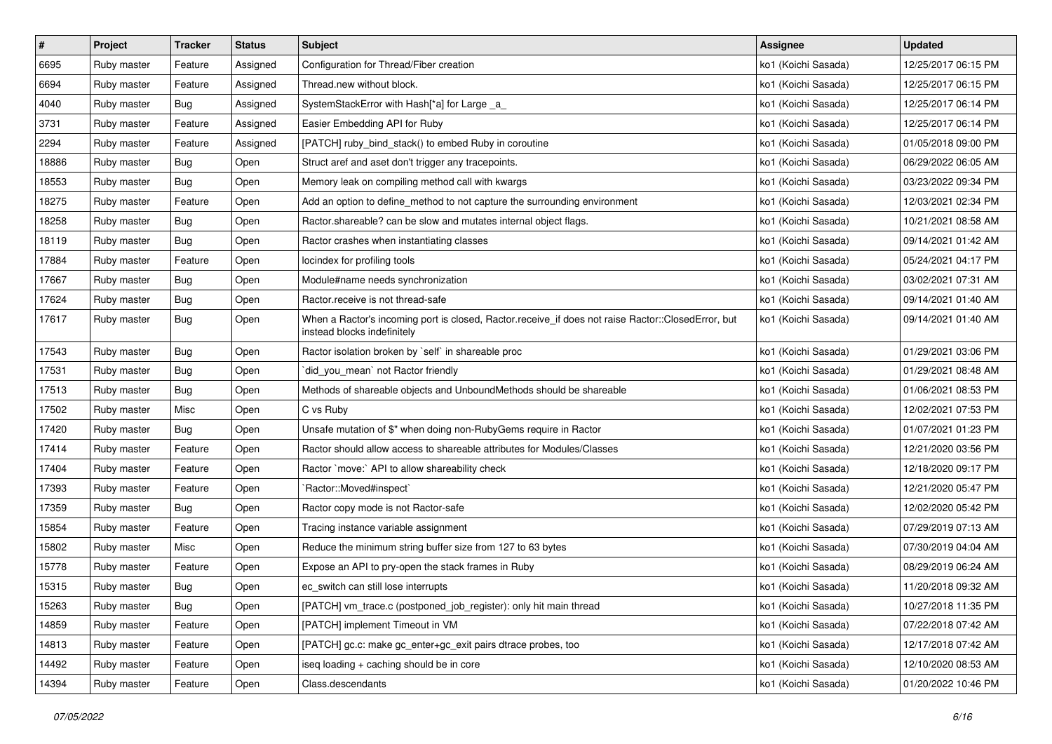| $\sharp$ | Project     | <b>Tracker</b> | <b>Status</b> | <b>Subject</b>                                                                                                                    | <b>Assignee</b>     | <b>Updated</b>      |
|----------|-------------|----------------|---------------|-----------------------------------------------------------------------------------------------------------------------------------|---------------------|---------------------|
| 6695     | Ruby master | Feature        | Assigned      | Configuration for Thread/Fiber creation                                                                                           | ko1 (Koichi Sasada) | 12/25/2017 06:15 PM |
| 6694     | Ruby master | Feature        | Assigned      | Thread.new without block.                                                                                                         | ko1 (Koichi Sasada) | 12/25/2017 06:15 PM |
| 4040     | Ruby master | Bug            | Assigned      | SystemStackError with Hash[*a] for Large _a_                                                                                      | ko1 (Koichi Sasada) | 12/25/2017 06:14 PM |
| 3731     | Ruby master | Feature        | Assigned      | Easier Embedding API for Ruby                                                                                                     | ko1 (Koichi Sasada) | 12/25/2017 06:14 PM |
| 2294     | Ruby master | Feature        | Assigned      | [PATCH] ruby_bind_stack() to embed Ruby in coroutine                                                                              | ko1 (Koichi Sasada) | 01/05/2018 09:00 PM |
| 18886    | Ruby master | Bug            | Open          | Struct aref and aset don't trigger any tracepoints.                                                                               | ko1 (Koichi Sasada) | 06/29/2022 06:05 AM |
| 18553    | Ruby master | Bug            | Open          | Memory leak on compiling method call with kwargs                                                                                  | ko1 (Koichi Sasada) | 03/23/2022 09:34 PM |
| 18275    | Ruby master | Feature        | Open          | Add an option to define_method to not capture the surrounding environment                                                         | ko1 (Koichi Sasada) | 12/03/2021 02:34 PM |
| 18258    | Ruby master | Bug            | Open          | Ractor shareable? can be slow and mutates internal object flags.                                                                  | ko1 (Koichi Sasada) | 10/21/2021 08:58 AM |
| 18119    | Ruby master | Bug            | Open          | Ractor crashes when instantiating classes                                                                                         | ko1 (Koichi Sasada) | 09/14/2021 01:42 AM |
| 17884    | Ruby master | Feature        | Open          | locindex for profiling tools                                                                                                      | ko1 (Koichi Sasada) | 05/24/2021 04:17 PM |
| 17667    | Ruby master | Bug            | Open          | Module#name needs synchronization                                                                                                 | ko1 (Koichi Sasada) | 03/02/2021 07:31 AM |
| 17624    | Ruby master | Bug            | Open          | Ractor.receive is not thread-safe                                                                                                 | ko1 (Koichi Sasada) | 09/14/2021 01:40 AM |
| 17617    | Ruby master | Bug            | Open          | When a Ractor's incoming port is closed, Ractor.receive_if does not raise Ractor::ClosedError, but<br>instead blocks indefinitely | ko1 (Koichi Sasada) | 09/14/2021 01:40 AM |
| 17543    | Ruby master | Bug            | Open          | Ractor isolation broken by `self` in shareable proc                                                                               | ko1 (Koichi Sasada) | 01/29/2021 03:06 PM |
| 17531    | Ruby master | Bug            | Open          | `did_you_mean` not Ractor friendly                                                                                                | ko1 (Koichi Sasada) | 01/29/2021 08:48 AM |
| 17513    | Ruby master | Bug            | Open          | Methods of shareable objects and UnboundMethods should be shareable                                                               | ko1 (Koichi Sasada) | 01/06/2021 08:53 PM |
| 17502    | Ruby master | Misc           | Open          | C vs Ruby                                                                                                                         | ko1 (Koichi Sasada) | 12/02/2021 07:53 PM |
| 17420    | Ruby master | Bug            | Open          | Unsafe mutation of \$" when doing non-RubyGems require in Ractor                                                                  | ko1 (Koichi Sasada) | 01/07/2021 01:23 PM |
| 17414    | Ruby master | Feature        | Open          | Ractor should allow access to shareable attributes for Modules/Classes                                                            | ko1 (Koichi Sasada) | 12/21/2020 03:56 PM |
| 17404    | Ruby master | Feature        | Open          | Ractor `move:` API to allow shareability check                                                                                    | ko1 (Koichi Sasada) | 12/18/2020 09:17 PM |
| 17393    | Ruby master | Feature        | Open          | Ractor::Moved#inspect`                                                                                                            | ko1 (Koichi Sasada) | 12/21/2020 05:47 PM |
| 17359    | Ruby master | Bug            | Open          | Ractor copy mode is not Ractor-safe                                                                                               | ko1 (Koichi Sasada) | 12/02/2020 05:42 PM |
| 15854    | Ruby master | Feature        | Open          | Tracing instance variable assignment                                                                                              | ko1 (Koichi Sasada) | 07/29/2019 07:13 AM |
| 15802    | Ruby master | Misc           | Open          | Reduce the minimum string buffer size from 127 to 63 bytes                                                                        | ko1 (Koichi Sasada) | 07/30/2019 04:04 AM |
| 15778    | Ruby master | Feature        | Open          | Expose an API to pry-open the stack frames in Ruby                                                                                | ko1 (Koichi Sasada) | 08/29/2019 06:24 AM |
| 15315    | Ruby master | Bug            | Open          | ec switch can still lose interrupts                                                                                               | ko1 (Koichi Sasada) | 11/20/2018 09:32 AM |
| 15263    | Ruby master | Bug            | Open          | [PATCH] vm_trace.c (postponed_job_register): only hit main thread                                                                 | ko1 (Koichi Sasada) | 10/27/2018 11:35 PM |
| 14859    | Ruby master | Feature        | Open          | [PATCH] implement Timeout in VM                                                                                                   | ko1 (Koichi Sasada) | 07/22/2018 07:42 AM |
| 14813    | Ruby master | Feature        | Open          | [PATCH] gc.c: make gc_enter+gc_exit pairs dtrace probes, too                                                                      | ko1 (Koichi Sasada) | 12/17/2018 07:42 AM |
| 14492    | Ruby master | Feature        | Open          | iseg loading + caching should be in core                                                                                          | ko1 (Koichi Sasada) | 12/10/2020 08:53 AM |
| 14394    | Ruby master | Feature        | Open          | Class.descendants                                                                                                                 | ko1 (Koichi Sasada) | 01/20/2022 10:46 PM |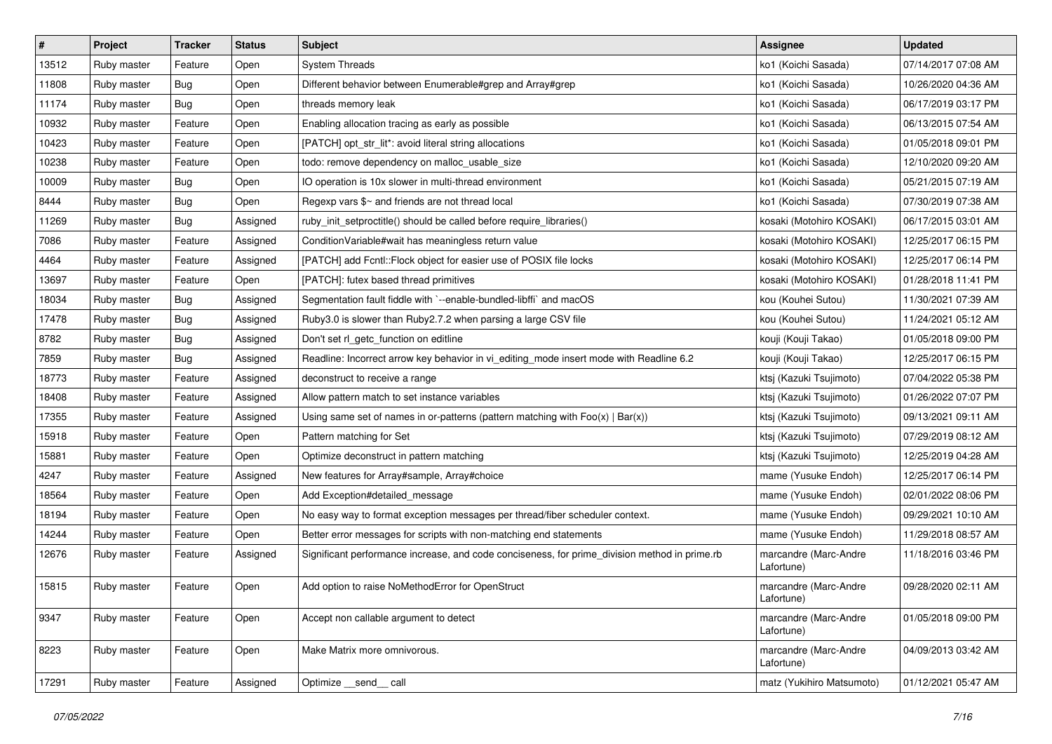| $\vert$ # | Project     | <b>Tracker</b> | <b>Status</b> | Subject                                                                                       | <b>Assignee</b>                     | <b>Updated</b>      |
|-----------|-------------|----------------|---------------|-----------------------------------------------------------------------------------------------|-------------------------------------|---------------------|
| 13512     | Ruby master | Feature        | Open          | <b>System Threads</b>                                                                         | ko1 (Koichi Sasada)                 | 07/14/2017 07:08 AM |
| 11808     | Ruby master | Bug            | Open          | Different behavior between Enumerable#grep and Array#grep                                     | ko1 (Koichi Sasada)                 | 10/26/2020 04:36 AM |
| 11174     | Ruby master | Bug            | Open          | threads memory leak                                                                           | ko1 (Koichi Sasada)                 | 06/17/2019 03:17 PM |
| 10932     | Ruby master | Feature        | Open          | Enabling allocation tracing as early as possible                                              | ko1 (Koichi Sasada)                 | 06/13/2015 07:54 AM |
| 10423     | Ruby master | Feature        | Open          | [PATCH] opt_str_lit*: avoid literal string allocations                                        | ko1 (Koichi Sasada)                 | 01/05/2018 09:01 PM |
| 10238     | Ruby master | Feature        | Open          | todo: remove dependency on malloc_usable_size                                                 | ko1 (Koichi Sasada)                 | 12/10/2020 09:20 AM |
| 10009     | Ruby master | Bug            | Open          | IO operation is 10x slower in multi-thread environment                                        | ko1 (Koichi Sasada)                 | 05/21/2015 07:19 AM |
| 8444      | Ruby master | Bug            | Open          | Regexp vars $\frac{6}{5}$ and friends are not thread local                                    | ko1 (Koichi Sasada)                 | 07/30/2019 07:38 AM |
| 11269     | Ruby master | Bug            | Assigned      | ruby_init_setproctitle() should be called before require_libraries()                          | kosaki (Motohiro KOSAKI)            | 06/17/2015 03:01 AM |
| 7086      | Ruby master | Feature        | Assigned      | ConditionVariable#wait has meaningless return value                                           | kosaki (Motohiro KOSAKI)            | 12/25/2017 06:15 PM |
| 4464      | Ruby master | Feature        | Assigned      | [PATCH] add Fcntl:: Flock object for easier use of POSIX file locks                           | kosaki (Motohiro KOSAKI)            | 12/25/2017 06:14 PM |
| 13697     | Ruby master | Feature        | Open          | [PATCH]: futex based thread primitives                                                        | kosaki (Motohiro KOSAKI)            | 01/28/2018 11:41 PM |
| 18034     | Ruby master | Bug            | Assigned      | Segmentation fault fiddle with `--enable-bundled-libffi` and macOS                            | kou (Kouhei Sutou)                  | 11/30/2021 07:39 AM |
| 17478     | Ruby master | Bug            | Assigned      | Ruby3.0 is slower than Ruby2.7.2 when parsing a large CSV file                                | kou (Kouhei Sutou)                  | 11/24/2021 05:12 AM |
| 8782      | Ruby master | Bug            | Assigned      | Don't set rl_getc_function on editline                                                        | kouji (Kouji Takao)                 | 01/05/2018 09:00 PM |
| 7859      | Ruby master | Bug            | Assigned      | Readline: Incorrect arrow key behavior in vi_editing_mode insert mode with Readline 6.2       | kouji (Kouji Takao)                 | 12/25/2017 06:15 PM |
| 18773     | Ruby master | Feature        | Assigned      | deconstruct to receive a range                                                                | ktsj (Kazuki Tsujimoto)             | 07/04/2022 05:38 PM |
| 18408     | Ruby master | Feature        | Assigned      | Allow pattern match to set instance variables                                                 | ktsj (Kazuki Tsujimoto)             | 01/26/2022 07:07 PM |
| 17355     | Ruby master | Feature        | Assigned      | Using same set of names in or-patterns (pattern matching with $Foo(x)   Bar(x)$ )             | ktsj (Kazuki Tsujimoto)             | 09/13/2021 09:11 AM |
| 15918     | Ruby master | Feature        | Open          | Pattern matching for Set                                                                      | ktsj (Kazuki Tsujimoto)             | 07/29/2019 08:12 AM |
| 15881     | Ruby master | Feature        | Open          | Optimize deconstruct in pattern matching                                                      | ktsj (Kazuki Tsujimoto)             | 12/25/2019 04:28 AM |
| 4247      | Ruby master | Feature        | Assigned      | New features for Array#sample, Array#choice                                                   | mame (Yusuke Endoh)                 | 12/25/2017 06:14 PM |
| 18564     | Ruby master | Feature        | Open          | Add Exception#detailed_message                                                                | mame (Yusuke Endoh)                 | 02/01/2022 08:06 PM |
| 18194     | Ruby master | Feature        | Open          | No easy way to format exception messages per thread/fiber scheduler context.                  | mame (Yusuke Endoh)                 | 09/29/2021 10:10 AM |
| 14244     | Ruby master | Feature        | Open          | Better error messages for scripts with non-matching end statements                            | mame (Yusuke Endoh)                 | 11/29/2018 08:57 AM |
| 12676     | Ruby master | Feature        | Assigned      | Significant performance increase, and code conciseness, for prime_division method in prime.rb | marcandre (Marc-Andre<br>Lafortune) | 11/18/2016 03:46 PM |
| 15815     | Ruby master | Feature        | Open          | Add option to raise NoMethodError for OpenStruct                                              | marcandre (Marc-Andre<br>Lafortune) | 09/28/2020 02:11 AM |
| 9347      | Ruby master | Feature        | Open          | Accept non callable argument to detect                                                        | marcandre (Marc-Andre<br>Lafortune) | 01/05/2018 09:00 PM |
| 8223      | Ruby master | Feature        | Open          | Make Matrix more omnivorous.                                                                  | marcandre (Marc-Andre<br>Lafortune) | 04/09/2013 03:42 AM |
| 17291     | Ruby master | Feature        | Assigned      | Optimize __send__ call                                                                        | matz (Yukihiro Matsumoto)           | 01/12/2021 05:47 AM |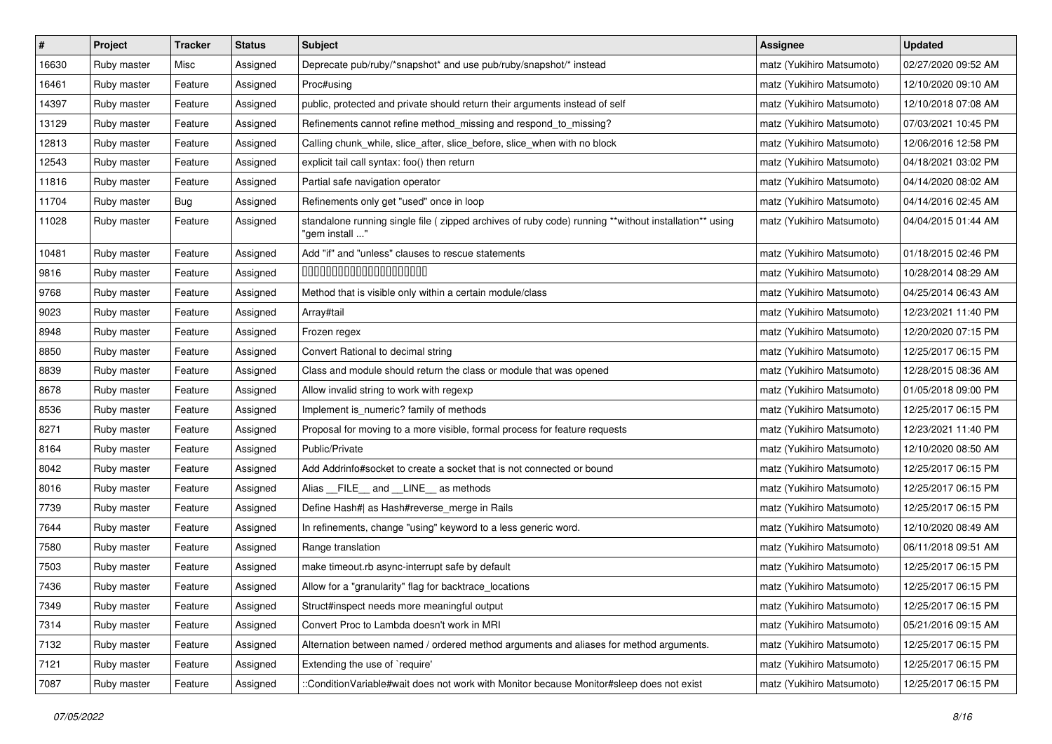| $\pmb{\#}$ | Project     | <b>Tracker</b> | <b>Status</b> | <b>Subject</b>                                                                                                         | <b>Assignee</b>           | <b>Updated</b>      |
|------------|-------------|----------------|---------------|------------------------------------------------------------------------------------------------------------------------|---------------------------|---------------------|
| 16630      | Ruby master | Misc           | Assigned      | Deprecate pub/ruby/*snapshot* and use pub/ruby/snapshot/* instead                                                      | matz (Yukihiro Matsumoto) | 02/27/2020 09:52 AM |
| 16461      | Ruby master | Feature        | Assigned      | Proc#using                                                                                                             | matz (Yukihiro Matsumoto) | 12/10/2020 09:10 AM |
| 14397      | Ruby master | Feature        | Assigned      | public, protected and private should return their arguments instead of self                                            | matz (Yukihiro Matsumoto) | 12/10/2018 07:08 AM |
| 13129      | Ruby master | Feature        | Assigned      | Refinements cannot refine method_missing and respond_to_missing?                                                       | matz (Yukihiro Matsumoto) | 07/03/2021 10:45 PM |
| 12813      | Ruby master | Feature        | Assigned      | Calling chunk_while, slice_after, slice_before, slice_when with no block                                               | matz (Yukihiro Matsumoto) | 12/06/2016 12:58 PM |
| 12543      | Ruby master | Feature        | Assigned      | explicit tail call syntax: foo() then return                                                                           | matz (Yukihiro Matsumoto) | 04/18/2021 03:02 PM |
| 11816      | Ruby master | Feature        | Assigned      | Partial safe navigation operator                                                                                       | matz (Yukihiro Matsumoto) | 04/14/2020 08:02 AM |
| 11704      | Ruby master | Bug            | Assigned      | Refinements only get "used" once in loop                                                                               | matz (Yukihiro Matsumoto) | 04/14/2016 02:45 AM |
| 11028      | Ruby master | Feature        | Assigned      | standalone running single file (zipped archives of ruby code) running **without installation** using<br>"gem install " | matz (Yukihiro Matsumoto) | 04/04/2015 01:44 AM |
| 10481      | Ruby master | Feature        | Assigned      | Add "if" and "unless" clauses to rescue statements                                                                     | matz (Yukihiro Matsumoto) | 01/18/2015 02:46 PM |
| 9816       | Ruby master | Feature        | Assigned      | 00000000000000000000                                                                                                   | matz (Yukihiro Matsumoto) | 10/28/2014 08:29 AM |
| 9768       | Ruby master | Feature        | Assigned      | Method that is visible only within a certain module/class                                                              | matz (Yukihiro Matsumoto) | 04/25/2014 06:43 AM |
| 9023       | Ruby master | Feature        | Assigned      | Array#tail                                                                                                             | matz (Yukihiro Matsumoto) | 12/23/2021 11:40 PM |
| 8948       | Ruby master | Feature        | Assigned      | Frozen regex                                                                                                           | matz (Yukihiro Matsumoto) | 12/20/2020 07:15 PM |
| 8850       | Ruby master | Feature        | Assigned      | Convert Rational to decimal string                                                                                     | matz (Yukihiro Matsumoto) | 12/25/2017 06:15 PM |
| 8839       | Ruby master | Feature        | Assigned      | Class and module should return the class or module that was opened                                                     | matz (Yukihiro Matsumoto) | 12/28/2015 08:36 AM |
| 8678       | Ruby master | Feature        | Assigned      | Allow invalid string to work with regexp                                                                               | matz (Yukihiro Matsumoto) | 01/05/2018 09:00 PM |
| 8536       | Ruby master | Feature        | Assigned      | Implement is_numeric? family of methods                                                                                | matz (Yukihiro Matsumoto) | 12/25/2017 06:15 PM |
| 8271       | Ruby master | Feature        | Assigned      | Proposal for moving to a more visible, formal process for feature requests                                             | matz (Yukihiro Matsumoto) | 12/23/2021 11:40 PM |
| 8164       | Ruby master | Feature        | Assigned      | Public/Private                                                                                                         | matz (Yukihiro Matsumoto) | 12/10/2020 08:50 AM |
| 8042       | Ruby master | Feature        | Assigned      | Add Addrinfo#socket to create a socket that is not connected or bound                                                  | matz (Yukihiro Matsumoto) | 12/25/2017 06:15 PM |
| 8016       | Ruby master | Feature        | Assigned      | Alias FILE and LINE as methods                                                                                         | matz (Yukihiro Matsumoto) | 12/25/2017 06:15 PM |
| 7739       | Ruby master | Feature        | Assigned      | Define Hash#  as Hash#reverse merge in Rails                                                                           | matz (Yukihiro Matsumoto) | 12/25/2017 06:15 PM |
| 7644       | Ruby master | Feature        | Assigned      | In refinements, change "using" keyword to a less generic word.                                                         | matz (Yukihiro Matsumoto) | 12/10/2020 08:49 AM |
| 7580       | Ruby master | Feature        | Assigned      | Range translation                                                                                                      | matz (Yukihiro Matsumoto) | 06/11/2018 09:51 AM |
| 7503       | Ruby master | Feature        | Assigned      | make timeout.rb async-interrupt safe by default                                                                        | matz (Yukihiro Matsumoto) | 12/25/2017 06:15 PM |
| 7436       | Ruby master | Feature        | Assigned      | Allow for a "granularity" flag for backtrace_locations                                                                 | matz (Yukihiro Matsumoto) | 12/25/2017 06:15 PM |
| 7349       | Ruby master | Feature        | Assigned      | Struct#inspect needs more meaningful output                                                                            | matz (Yukihiro Matsumoto) | 12/25/2017 06:15 PM |
| 7314       | Ruby master | Feature        | Assigned      | Convert Proc to Lambda doesn't work in MRI                                                                             | matz (Yukihiro Matsumoto) | 05/21/2016 09:15 AM |
| 7132       | Ruby master | Feature        | Assigned      | Alternation between named / ordered method arguments and aliases for method arguments.                                 | matz (Yukihiro Matsumoto) | 12/25/2017 06:15 PM |
| 7121       | Ruby master | Feature        | Assigned      | Extending the use of `require'                                                                                         | matz (Yukihiro Matsumoto) | 12/25/2017 06:15 PM |
| 7087       | Ruby master | Feature        | Assigned      | ::ConditionVariable#wait does not work with Monitor because Monitor#sleep does not exist                               | matz (Yukihiro Matsumoto) | 12/25/2017 06:15 PM |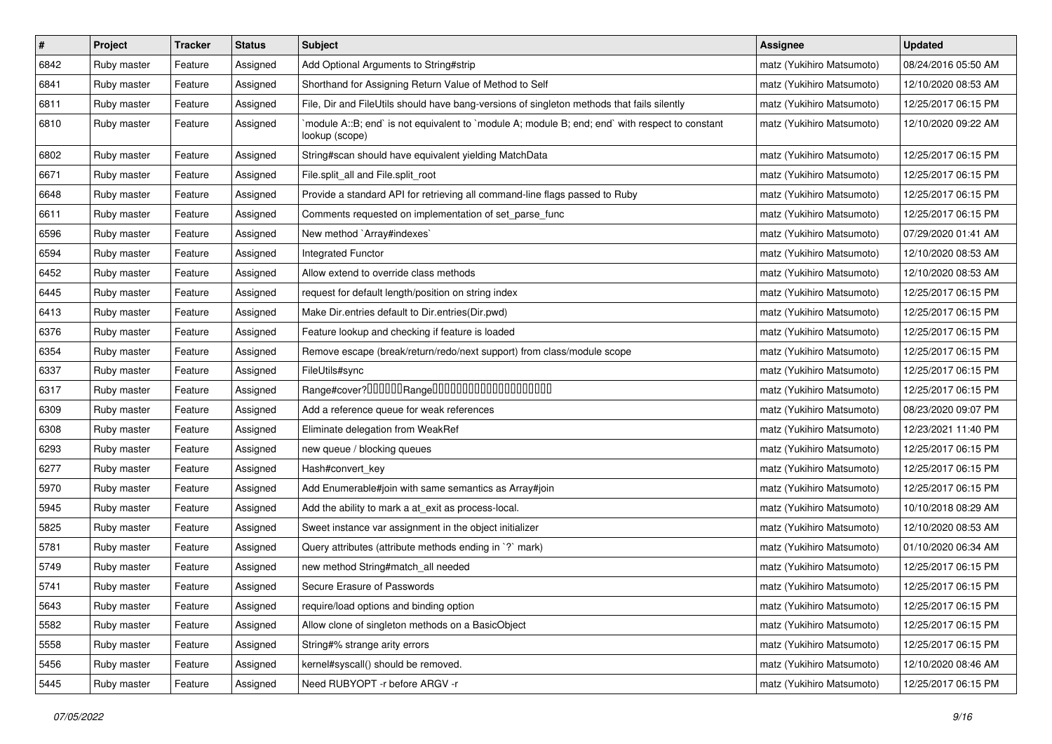| $\pmb{\#}$ | Project     | <b>Tracker</b> | <b>Status</b> | Subject                                                                                                          | <b>Assignee</b>           | <b>Updated</b>      |
|------------|-------------|----------------|---------------|------------------------------------------------------------------------------------------------------------------|---------------------------|---------------------|
| 6842       | Ruby master | Feature        | Assigned      | Add Optional Arguments to String#strip                                                                           | matz (Yukihiro Matsumoto) | 08/24/2016 05:50 AM |
| 6841       | Ruby master | Feature        | Assigned      | Shorthand for Assigning Return Value of Method to Self                                                           | matz (Yukihiro Matsumoto) | 12/10/2020 08:53 AM |
| 6811       | Ruby master | Feature        | Assigned      | File, Dir and FileUtils should have bang-versions of singleton methods that fails silently                       | matz (Yukihiro Matsumoto) | 12/25/2017 06:15 PM |
| 6810       | Ruby master | Feature        | Assigned      | module A::B; end` is not equivalent to `module A; module B; end; end` with respect to constant<br>lookup (scope) | matz (Yukihiro Matsumoto) | 12/10/2020 09:22 AM |
| 6802       | Ruby master | Feature        | Assigned      | String#scan should have equivalent yielding MatchData                                                            | matz (Yukihiro Matsumoto) | 12/25/2017 06:15 PM |
| 6671       | Ruby master | Feature        | Assigned      | File.split_all and File.split_root                                                                               | matz (Yukihiro Matsumoto) | 12/25/2017 06:15 PM |
| 6648       | Ruby master | Feature        | Assigned      | Provide a standard API for retrieving all command-line flags passed to Ruby                                      | matz (Yukihiro Matsumoto) | 12/25/2017 06:15 PM |
| 6611       | Ruby master | Feature        | Assigned      | Comments requested on implementation of set_parse_func                                                           | matz (Yukihiro Matsumoto) | 12/25/2017 06:15 PM |
| 6596       | Ruby master | Feature        | Assigned      | New method `Array#indexes`                                                                                       | matz (Yukihiro Matsumoto) | 07/29/2020 01:41 AM |
| 6594       | Ruby master | Feature        | Assigned      | Integrated Functor                                                                                               | matz (Yukihiro Matsumoto) | 12/10/2020 08:53 AM |
| 6452       | Ruby master | Feature        | Assigned      | Allow extend to override class methods                                                                           | matz (Yukihiro Matsumoto) | 12/10/2020 08:53 AM |
| 6445       | Ruby master | Feature        | Assigned      | request for default length/position on string index                                                              | matz (Yukihiro Matsumoto) | 12/25/2017 06:15 PM |
| 6413       | Ruby master | Feature        | Assigned      | Make Dir.entries default to Dir.entries(Dir.pwd)                                                                 | matz (Yukihiro Matsumoto) | 12/25/2017 06:15 PM |
| 6376       | Ruby master | Feature        | Assigned      | Feature lookup and checking if feature is loaded                                                                 | matz (Yukihiro Matsumoto) | 12/25/2017 06:15 PM |
| 6354       | Ruby master | Feature        | Assigned      | Remove escape (break/return/redo/next support) from class/module scope                                           | matz (Yukihiro Matsumoto) | 12/25/2017 06:15 PM |
| 6337       | Ruby master | Feature        | Assigned      | FileUtils#sync                                                                                                   | matz (Yukihiro Matsumoto) | 12/25/2017 06:15 PM |
| 6317       | Ruby master | Feature        | Assigned      |                                                                                                                  | matz (Yukihiro Matsumoto) | 12/25/2017 06:15 PM |
| 6309       | Ruby master | Feature        | Assigned      | Add a reference queue for weak references                                                                        | matz (Yukihiro Matsumoto) | 08/23/2020 09:07 PM |
| 6308       | Ruby master | Feature        | Assigned      | Eliminate delegation from WeakRef                                                                                | matz (Yukihiro Matsumoto) | 12/23/2021 11:40 PM |
| 6293       | Ruby master | Feature        | Assigned      | new queue / blocking queues                                                                                      | matz (Yukihiro Matsumoto) | 12/25/2017 06:15 PM |
| 6277       | Ruby master | Feature        | Assigned      | Hash#convert key                                                                                                 | matz (Yukihiro Matsumoto) | 12/25/2017 06:15 PM |
| 5970       | Ruby master | Feature        | Assigned      | Add Enumerable#join with same semantics as Array#join                                                            | matz (Yukihiro Matsumoto) | 12/25/2017 06:15 PM |
| 5945       | Ruby master | Feature        | Assigned      | Add the ability to mark a at_exit as process-local.                                                              | matz (Yukihiro Matsumoto) | 10/10/2018 08:29 AM |
| 5825       | Ruby master | Feature        | Assigned      | Sweet instance var assignment in the object initializer                                                          | matz (Yukihiro Matsumoto) | 12/10/2020 08:53 AM |
| 5781       | Ruby master | Feature        | Assigned      | Query attributes (attribute methods ending in `?` mark)                                                          | matz (Yukihiro Matsumoto) | 01/10/2020 06:34 AM |
| 5749       | Ruby master | Feature        | Assigned      | new method String#match_all needed                                                                               | matz (Yukihiro Matsumoto) | 12/25/2017 06:15 PM |
| 5741       | Ruby master | Feature        | Assigned      | Secure Erasure of Passwords                                                                                      | matz (Yukihiro Matsumoto) | 12/25/2017 06:15 PM |
| 5643       | Ruby master | Feature        | Assigned      | require/load options and binding option                                                                          | matz (Yukihiro Matsumoto) | 12/25/2017 06:15 PM |
| 5582       | Ruby master | Feature        | Assigned      | Allow clone of singleton methods on a BasicObject                                                                | matz (Yukihiro Matsumoto) | 12/25/2017 06:15 PM |
| 5558       | Ruby master | Feature        | Assigned      | String#% strange arity errors                                                                                    | matz (Yukihiro Matsumoto) | 12/25/2017 06:15 PM |
| 5456       | Ruby master | Feature        | Assigned      | kernel#syscall() should be removed.                                                                              | matz (Yukihiro Matsumoto) | 12/10/2020 08:46 AM |
| 5445       | Ruby master | Feature        | Assigned      | Need RUBYOPT -r before ARGV -r                                                                                   | matz (Yukihiro Matsumoto) | 12/25/2017 06:15 PM |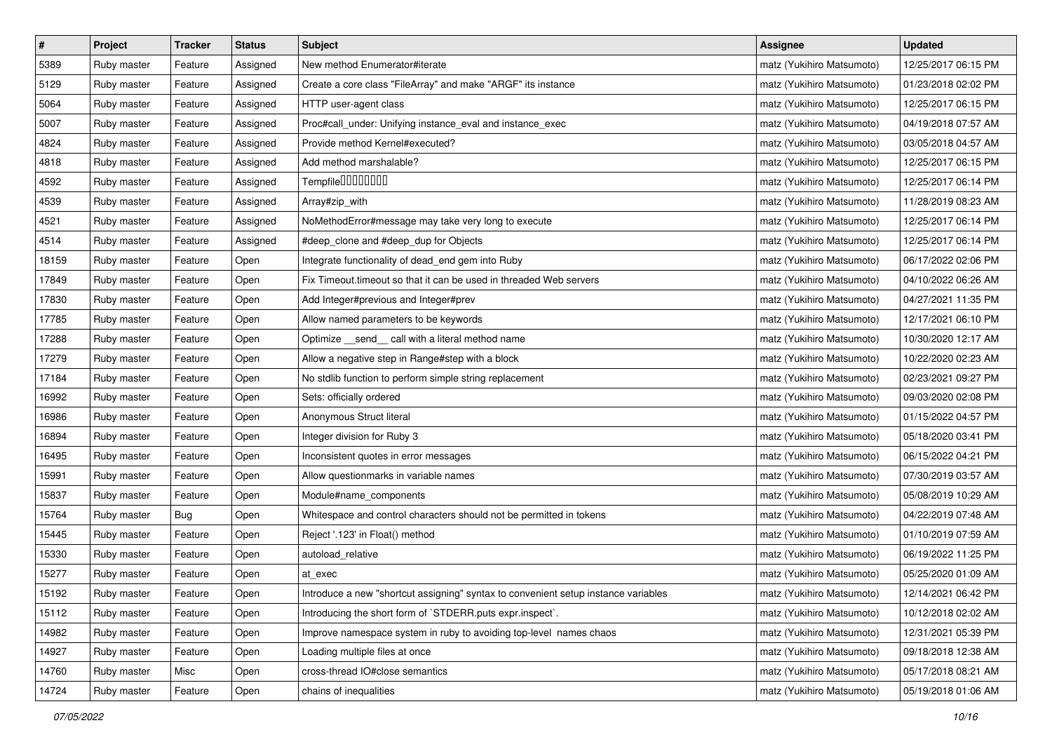| $\pmb{\#}$ | Project     | <b>Tracker</b> | <b>Status</b> | <b>Subject</b>                                                                     | <b>Assignee</b>           | <b>Updated</b>      |
|------------|-------------|----------------|---------------|------------------------------------------------------------------------------------|---------------------------|---------------------|
| 5389       | Ruby master | Feature        | Assigned      | New method Enumerator#iterate                                                      | matz (Yukihiro Matsumoto) | 12/25/2017 06:15 PM |
| 5129       | Ruby master | Feature        | Assigned      | Create a core class "FileArray" and make "ARGF" its instance                       | matz (Yukihiro Matsumoto) | 01/23/2018 02:02 PM |
| 5064       | Ruby master | Feature        | Assigned      | HTTP user-agent class                                                              | matz (Yukihiro Matsumoto) | 12/25/2017 06:15 PM |
| 5007       | Ruby master | Feature        | Assigned      | Proc#call_under: Unifying instance_eval and instance_exec                          | matz (Yukihiro Matsumoto) | 04/19/2018 07:57 AM |
| 4824       | Ruby master | Feature        | Assigned      | Provide method Kernel#executed?                                                    | matz (Yukihiro Matsumoto) | 03/05/2018 04:57 AM |
| 4818       | Ruby master | Feature        | Assigned      | Add method marshalable?                                                            | matz (Yukihiro Matsumoto) | 12/25/2017 06:15 PM |
| 4592       | Ruby master | Feature        | Assigned      | Tempfile0000000                                                                    | matz (Yukihiro Matsumoto) | 12/25/2017 06:14 PM |
| 4539       | Ruby master | Feature        | Assigned      | Array#zip_with                                                                     | matz (Yukihiro Matsumoto) | 11/28/2019 08:23 AM |
| 4521       | Ruby master | Feature        | Assigned      | NoMethodError#message may take very long to execute                                | matz (Yukihiro Matsumoto) | 12/25/2017 06:14 PM |
| 4514       | Ruby master | Feature        | Assigned      | #deep_clone and #deep_dup for Objects                                              | matz (Yukihiro Matsumoto) | 12/25/2017 06:14 PM |
| 18159      | Ruby master | Feature        | Open          | Integrate functionality of dead_end gem into Ruby                                  | matz (Yukihiro Matsumoto) | 06/17/2022 02:06 PM |
| 17849      | Ruby master | Feature        | Open          | Fix Timeout timeout so that it can be used in threaded Web servers                 | matz (Yukihiro Matsumoto) | 04/10/2022 06:26 AM |
| 17830      | Ruby master | Feature        | Open          | Add Integer#previous and Integer#prev                                              | matz (Yukihiro Matsumoto) | 04/27/2021 11:35 PM |
| 17785      | Ruby master | Feature        | Open          | Allow named parameters to be keywords                                              | matz (Yukihiro Matsumoto) | 12/17/2021 06:10 PM |
| 17288      | Ruby master | Feature        | Open          | Optimize _send_ call with a literal method name                                    | matz (Yukihiro Matsumoto) | 10/30/2020 12:17 AM |
| 17279      | Ruby master | Feature        | Open          | Allow a negative step in Range#step with a block                                   | matz (Yukihiro Matsumoto) | 10/22/2020 02:23 AM |
| 17184      | Ruby master | Feature        | Open          | No stdlib function to perform simple string replacement                            | matz (Yukihiro Matsumoto) | 02/23/2021 09:27 PM |
| 16992      | Ruby master | Feature        | Open          | Sets: officially ordered                                                           | matz (Yukihiro Matsumoto) | 09/03/2020 02:08 PM |
| 16986      | Ruby master | Feature        | Open          | Anonymous Struct literal                                                           | matz (Yukihiro Matsumoto) | 01/15/2022 04:57 PM |
| 16894      | Ruby master | Feature        | Open          | Integer division for Ruby 3                                                        | matz (Yukihiro Matsumoto) | 05/18/2020 03:41 PM |
| 16495      | Ruby master | Feature        | Open          | Inconsistent quotes in error messages                                              | matz (Yukihiro Matsumoto) | 06/15/2022 04:21 PM |
| 15991      | Ruby master | Feature        | Open          | Allow questionmarks in variable names                                              | matz (Yukihiro Matsumoto) | 07/30/2019 03:57 AM |
| 15837      | Ruby master | Feature        | Open          | Module#name_components                                                             | matz (Yukihiro Matsumoto) | 05/08/2019 10:29 AM |
| 15764      | Ruby master | Bug            | Open          | Whitespace and control characters should not be permitted in tokens                | matz (Yukihiro Matsumoto) | 04/22/2019 07:48 AM |
| 15445      | Ruby master | Feature        | Open          | Reject '.123' in Float() method                                                    | matz (Yukihiro Matsumoto) | 01/10/2019 07:59 AM |
| 15330      | Ruby master | Feature        | Open          | autoload_relative                                                                  | matz (Yukihiro Matsumoto) | 06/19/2022 11:25 PM |
| 15277      | Ruby master | Feature        | Open          | at_exec                                                                            | matz (Yukihiro Matsumoto) | 05/25/2020 01:09 AM |
| 15192      | Ruby master | Feature        | Open          | Introduce a new "shortcut assigning" syntax to convenient setup instance variables | matz (Yukihiro Matsumoto) | 12/14/2021 06:42 PM |
| 15112      | Ruby master | Feature        | Open          | Introducing the short form of `STDERR.puts expr.inspect`.                          | matz (Yukihiro Matsumoto) | 10/12/2018 02:02 AM |
| 14982      | Ruby master | Feature        | Open          | Improve namespace system in ruby to avoiding top-level names chaos                 | matz (Yukihiro Matsumoto) | 12/31/2021 05:39 PM |
| 14927      | Ruby master | Feature        | Open          | Loading multiple files at once                                                     | matz (Yukihiro Matsumoto) | 09/18/2018 12:38 AM |
| 14760      | Ruby master | Misc           | Open          | cross-thread IO#close semantics                                                    | matz (Yukihiro Matsumoto) | 05/17/2018 08:21 AM |
| 14724      | Ruby master | Feature        | Open          | chains of inequalities                                                             | matz (Yukihiro Matsumoto) | 05/19/2018 01:06 AM |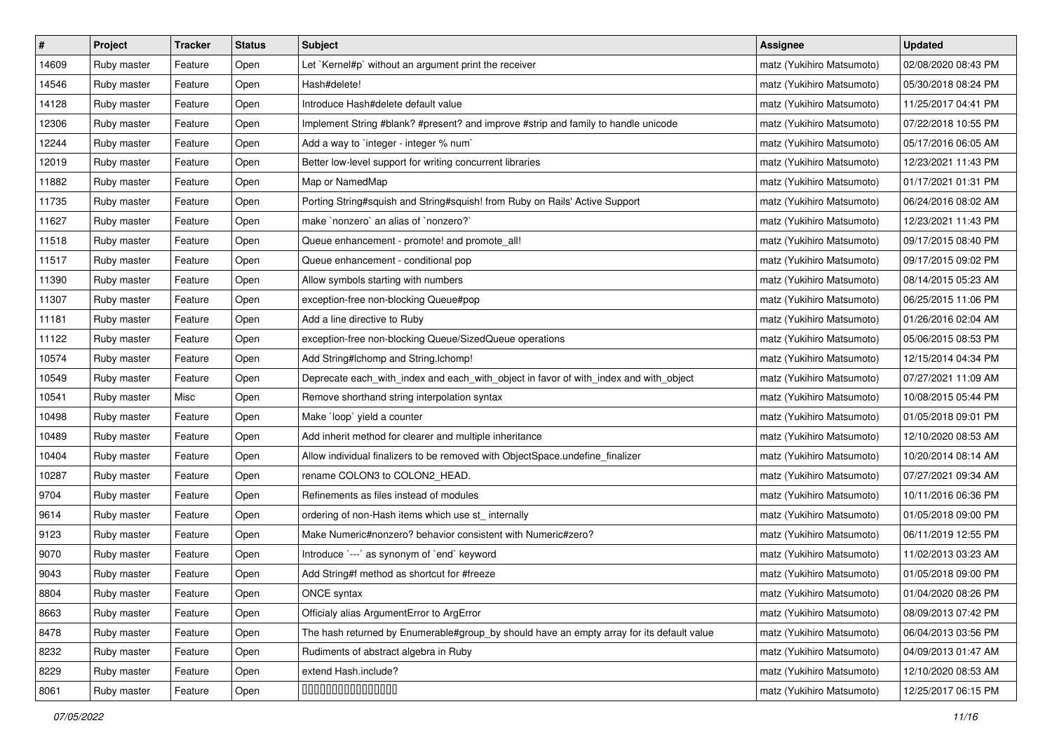| $\sharp$ | Project     | Tracker | <b>Status</b> | <b>Subject</b>                                                                            | Assignee                  | <b>Updated</b>      |
|----------|-------------|---------|---------------|-------------------------------------------------------------------------------------------|---------------------------|---------------------|
| 14609    | Ruby master | Feature | Open          | Let `Kernel#p` without an argument print the receiver                                     | matz (Yukihiro Matsumoto) | 02/08/2020 08:43 PM |
| 14546    | Ruby master | Feature | Open          | Hash#delete!                                                                              | matz (Yukihiro Matsumoto) | 05/30/2018 08:24 PM |
| 14128    | Ruby master | Feature | Open          | Introduce Hash#delete default value                                                       | matz (Yukihiro Matsumoto) | 11/25/2017 04:41 PM |
| 12306    | Ruby master | Feature | Open          | Implement String #blank? #present? and improve #strip and family to handle unicode        | matz (Yukihiro Matsumoto) | 07/22/2018 10:55 PM |
| 12244    | Ruby master | Feature | Open          | Add a way to `integer - integer % num`                                                    | matz (Yukihiro Matsumoto) | 05/17/2016 06:05 AM |
| 12019    | Ruby master | Feature | Open          | Better low-level support for writing concurrent libraries                                 | matz (Yukihiro Matsumoto) | 12/23/2021 11:43 PM |
| 11882    | Ruby master | Feature | Open          | Map or NamedMap                                                                           | matz (Yukihiro Matsumoto) | 01/17/2021 01:31 PM |
| 11735    | Ruby master | Feature | Open          | Porting String#squish and String#squish! from Ruby on Rails' Active Support               | matz (Yukihiro Matsumoto) | 06/24/2016 08:02 AM |
| 11627    | Ruby master | Feature | Open          | make `nonzero` an alias of `nonzero?`                                                     | matz (Yukihiro Matsumoto) | 12/23/2021 11:43 PM |
| 11518    | Ruby master | Feature | Open          | Queue enhancement - promote! and promote_all!                                             | matz (Yukihiro Matsumoto) | 09/17/2015 08:40 PM |
| 11517    | Ruby master | Feature | Open          | Queue enhancement - conditional pop                                                       | matz (Yukihiro Matsumoto) | 09/17/2015 09:02 PM |
| 11390    | Ruby master | Feature | Open          | Allow symbols starting with numbers                                                       | matz (Yukihiro Matsumoto) | 08/14/2015 05:23 AM |
| 11307    | Ruby master | Feature | Open          | exception-free non-blocking Queue#pop                                                     | matz (Yukihiro Matsumoto) | 06/25/2015 11:06 PM |
| 11181    | Ruby master | Feature | Open          | Add a line directive to Ruby                                                              | matz (Yukihiro Matsumoto) | 01/26/2016 02:04 AM |
| 11122    | Ruby master | Feature | Open          | exception-free non-blocking Queue/SizedQueue operations                                   | matz (Yukihiro Matsumoto) | 05/06/2015 08:53 PM |
| 10574    | Ruby master | Feature | Open          | Add String#Ichomp and String.Ichomp!                                                      | matz (Yukihiro Matsumoto) | 12/15/2014 04:34 PM |
| 10549    | Ruby master | Feature | Open          | Deprecate each_with_index and each_with_object in favor of with_index and with_object     | matz (Yukihiro Matsumoto) | 07/27/2021 11:09 AM |
| 10541    | Ruby master | Misc    | Open          | Remove shorthand string interpolation syntax                                              | matz (Yukihiro Matsumoto) | 10/08/2015 05:44 PM |
| 10498    | Ruby master | Feature | Open          | Make `loop` yield a counter                                                               | matz (Yukihiro Matsumoto) | 01/05/2018 09:01 PM |
| 10489    | Ruby master | Feature | Open          | Add inherit method for clearer and multiple inheritance                                   | matz (Yukihiro Matsumoto) | 12/10/2020 08:53 AM |
| 10404    | Ruby master | Feature | Open          | Allow individual finalizers to be removed with ObjectSpace.undefine_finalizer             | matz (Yukihiro Matsumoto) | 10/20/2014 08:14 AM |
| 10287    | Ruby master | Feature | Open          | rename COLON3 to COLON2_HEAD.                                                             | matz (Yukihiro Matsumoto) | 07/27/2021 09:34 AM |
| 9704     | Ruby master | Feature | Open          | Refinements as files instead of modules                                                   | matz (Yukihiro Matsumoto) | 10/11/2016 06:36 PM |
| 9614     | Ruby master | Feature | Open          | ordering of non-Hash items which use st_ internally                                       | matz (Yukihiro Matsumoto) | 01/05/2018 09:00 PM |
| 9123     | Ruby master | Feature | Open          | Make Numeric#nonzero? behavior consistent with Numeric#zero?                              | matz (Yukihiro Matsumoto) | 06/11/2019 12:55 PM |
| 9070     | Ruby master | Feature | Open          | Introduce `---` as synonym of `end` keyword                                               | matz (Yukihiro Matsumoto) | 11/02/2013 03:23 AM |
| 9043     | Ruby master | Feature | Open          | Add String#f method as shortcut for #freeze                                               | matz (Yukihiro Matsumoto) | 01/05/2018 09:00 PM |
| 8804     | Ruby master | Feature | Open          | ONCE syntax                                                                               | matz (Yukihiro Matsumoto) | 01/04/2020 08:26 PM |
| 8663     | Ruby master | Feature | Open          | Officialy alias ArgumentError to ArgError                                                 | matz (Yukihiro Matsumoto) | 08/09/2013 07:42 PM |
| 8478     | Ruby master | Feature | Open          | The hash returned by Enumerable#group_by should have an empty array for its default value | matz (Yukihiro Matsumoto) | 06/04/2013 03:56 PM |
| 8232     | Ruby master | Feature | Open          | Rudiments of abstract algebra in Ruby                                                     | matz (Yukihiro Matsumoto) | 04/09/2013 01:47 AM |
| 8229     | Ruby master | Feature | Open          | extend Hash.include?                                                                      | matz (Yukihiro Matsumoto) | 12/10/2020 08:53 AM |
| 8061     | Ruby master | Feature | Open          | 000000000000000                                                                           | matz (Yukihiro Matsumoto) | 12/25/2017 06:15 PM |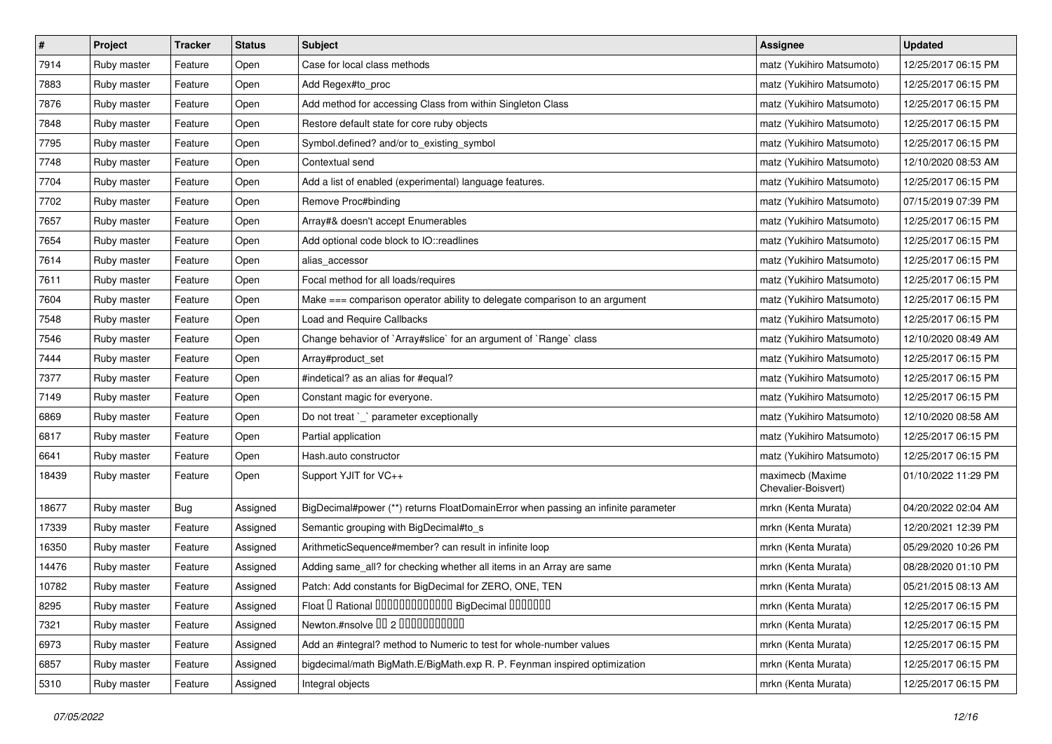| $\sharp$ | Project     | Tracker | <b>Status</b> | <b>Subject</b>                                                                    | <b>Assignee</b>                         | <b>Updated</b>      |
|----------|-------------|---------|---------------|-----------------------------------------------------------------------------------|-----------------------------------------|---------------------|
| 7914     | Ruby master | Feature | Open          | Case for local class methods                                                      | matz (Yukihiro Matsumoto)               | 12/25/2017 06:15 PM |
| 7883     | Ruby master | Feature | Open          | Add Regex#to_proc                                                                 | matz (Yukihiro Matsumoto)               | 12/25/2017 06:15 PM |
| 7876     | Ruby master | Feature | Open          | Add method for accessing Class from within Singleton Class                        | matz (Yukihiro Matsumoto)               | 12/25/2017 06:15 PM |
| 7848     | Ruby master | Feature | Open          | Restore default state for core ruby objects                                       | matz (Yukihiro Matsumoto)               | 12/25/2017 06:15 PM |
| 7795     | Ruby master | Feature | Open          | Symbol.defined? and/or to_existing_symbol                                         | matz (Yukihiro Matsumoto)               | 12/25/2017 06:15 PM |
| 7748     | Ruby master | Feature | Open          | Contextual send                                                                   | matz (Yukihiro Matsumoto)               | 12/10/2020 08:53 AM |
| 7704     | Ruby master | Feature | Open          | Add a list of enabled (experimental) language features.                           | matz (Yukihiro Matsumoto)               | 12/25/2017 06:15 PM |
| 7702     | Ruby master | Feature | Open          | Remove Proc#binding                                                               | matz (Yukihiro Matsumoto)               | 07/15/2019 07:39 PM |
| 7657     | Ruby master | Feature | Open          | Array#& doesn't accept Enumerables                                                | matz (Yukihiro Matsumoto)               | 12/25/2017 06:15 PM |
| 7654     | Ruby master | Feature | Open          | Add optional code block to IO::readlines                                          | matz (Yukihiro Matsumoto)               | 12/25/2017 06:15 PM |
| 7614     | Ruby master | Feature | Open          | alias_accessor                                                                    | matz (Yukihiro Matsumoto)               | 12/25/2017 06:15 PM |
| 7611     | Ruby master | Feature | Open          | Focal method for all loads/requires                                               | matz (Yukihiro Matsumoto)               | 12/25/2017 06:15 PM |
| 7604     | Ruby master | Feature | Open          | Make === comparison operator ability to delegate comparison to an argument        | matz (Yukihiro Matsumoto)               | 12/25/2017 06:15 PM |
| 7548     | Ruby master | Feature | Open          | <b>Load and Require Callbacks</b>                                                 | matz (Yukihiro Matsumoto)               | 12/25/2017 06:15 PM |
| 7546     | Ruby master | Feature | Open          | Change behavior of `Array#slice` for an argument of `Range` class                 | matz (Yukihiro Matsumoto)               | 12/10/2020 08:49 AM |
| 7444     | Ruby master | Feature | Open          | Array#product_set                                                                 | matz (Yukihiro Matsumoto)               | 12/25/2017 06:15 PM |
| 7377     | Ruby master | Feature | Open          | #indetical? as an alias for #equal?                                               | matz (Yukihiro Matsumoto)               | 12/25/2017 06:15 PM |
| 7149     | Ruby master | Feature | Open          | Constant magic for everyone.                                                      | matz (Yukihiro Matsumoto)               | 12/25/2017 06:15 PM |
| 6869     | Ruby master | Feature | Open          | Do not treat `_` parameter exceptionally                                          | matz (Yukihiro Matsumoto)               | 12/10/2020 08:58 AM |
| 6817     | Ruby master | Feature | Open          | Partial application                                                               | matz (Yukihiro Matsumoto)               | 12/25/2017 06:15 PM |
| 6641     | Ruby master | Feature | Open          | Hash.auto constructor                                                             | matz (Yukihiro Matsumoto)               | 12/25/2017 06:15 PM |
| 18439    | Ruby master | Feature | Open          | Support YJIT for VC++                                                             | maximecb (Maxime<br>Chevalier-Boisvert) | 01/10/2022 11:29 PM |
| 18677    | Ruby master | Bug     | Assigned      | BigDecimal#power (**) returns FloatDomainError when passing an infinite parameter | mrkn (Kenta Murata)                     | 04/20/2022 02:04 AM |
| 17339    | Ruby master | Feature | Assigned      | Semantic grouping with BigDecimal#to_s                                            | mrkn (Kenta Murata)                     | 12/20/2021 12:39 PM |
| 16350    | Ruby master | Feature | Assigned      | ArithmeticSequence#member? can result in infinite loop                            | mrkn (Kenta Murata)                     | 05/29/2020 10:26 PM |
| 14476    | Ruby master | Feature | Assigned      | Adding same_all? for checking whether all items in an Array are same              | mrkn (Kenta Murata)                     | 08/28/2020 01:10 PM |
| 10782    | Ruby master | Feature | Assigned      | Patch: Add constants for BigDecimal for ZERO, ONE, TEN                            | mrkn (Kenta Murata)                     | 05/21/2015 08:13 AM |
| 8295     | Ruby master | Feature | Assigned      | Float I Rational IIIIIIIIIIIIIIIIIII BigDecimal IIIIIIIIII                        | mrkn (Kenta Murata)                     | 12/25/2017 06:15 PM |
| 7321     | Ruby master | Feature | Assigned      | Newton.#nsolve 00 2 00000000000                                                   | mrkn (Kenta Murata)                     | 12/25/2017 06:15 PM |
| 6973     | Ruby master | Feature | Assigned      | Add an #integral? method to Numeric to test for whole-number values               | mrkn (Kenta Murata)                     | 12/25/2017 06:15 PM |
| 6857     | Ruby master | Feature | Assigned      | bigdecimal/math BigMath.E/BigMath.exp R. P. Feynman inspired optimization         | mrkn (Kenta Murata)                     | 12/25/2017 06:15 PM |
| 5310     | Ruby master | Feature | Assigned      | Integral objects                                                                  | mrkn (Kenta Murata)                     | 12/25/2017 06:15 PM |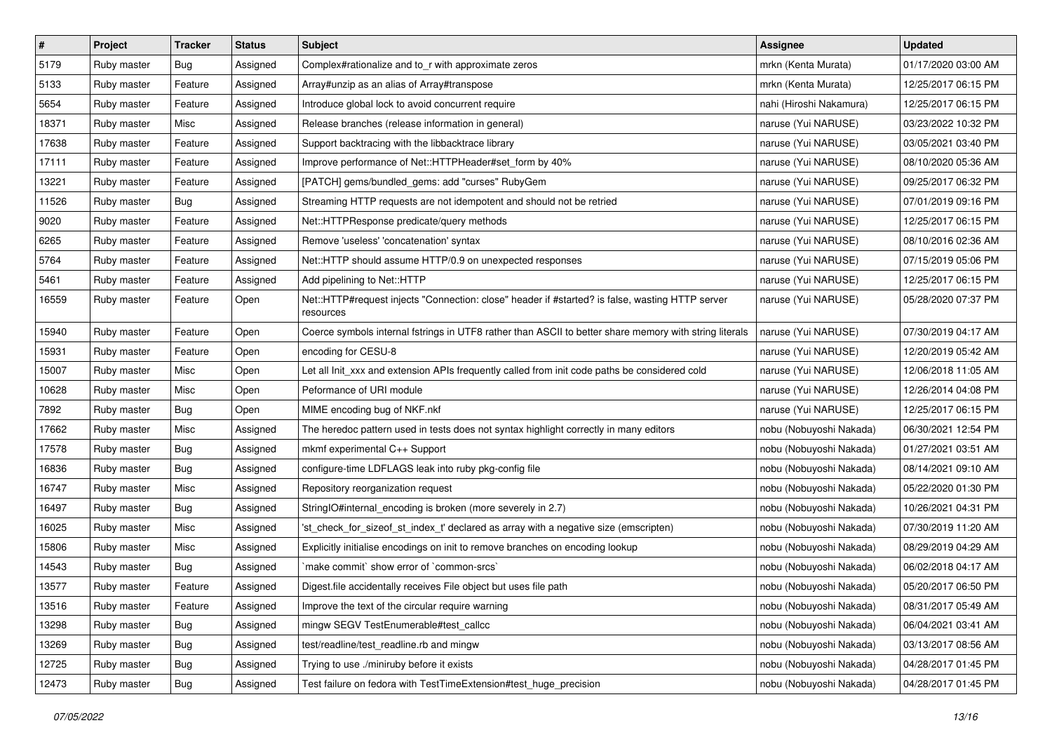| $\pmb{\#}$ | Project     | <b>Tracker</b> | <b>Status</b> | <b>Subject</b>                                                                                               | <b>Assignee</b>         | <b>Updated</b>      |
|------------|-------------|----------------|---------------|--------------------------------------------------------------------------------------------------------------|-------------------------|---------------------|
| 5179       | Ruby master | Bug            | Assigned      | Complex#rationalize and to_r with approximate zeros                                                          | mrkn (Kenta Murata)     | 01/17/2020 03:00 AM |
| 5133       | Ruby master | Feature        | Assigned      | Array#unzip as an alias of Array#transpose                                                                   | mrkn (Kenta Murata)     | 12/25/2017 06:15 PM |
| 5654       | Ruby master | Feature        | Assigned      | Introduce global lock to avoid concurrent require                                                            | nahi (Hiroshi Nakamura) | 12/25/2017 06:15 PM |
| 18371      | Ruby master | Misc           | Assigned      | Release branches (release information in general)                                                            | naruse (Yui NARUSE)     | 03/23/2022 10:32 PM |
| 17638      | Ruby master | Feature        | Assigned      | Support backtracing with the libbacktrace library                                                            | naruse (Yui NARUSE)     | 03/05/2021 03:40 PM |
| 17111      | Ruby master | Feature        | Assigned      | Improve performance of Net::HTTPHeader#set form by 40%                                                       | naruse (Yui NARUSE)     | 08/10/2020 05:36 AM |
| 13221      | Ruby master | Feature        | Assigned      | [PATCH] gems/bundled_gems: add "curses" RubyGem                                                              | naruse (Yui NARUSE)     | 09/25/2017 06:32 PM |
| 11526      | Ruby master | Bug            | Assigned      | Streaming HTTP requests are not idempotent and should not be retried                                         | naruse (Yui NARUSE)     | 07/01/2019 09:16 PM |
| 9020       | Ruby master | Feature        | Assigned      | Net::HTTPResponse predicate/query methods                                                                    | naruse (Yui NARUSE)     | 12/25/2017 06:15 PM |
| 6265       | Ruby master | Feature        | Assigned      | Remove 'useless' 'concatenation' syntax                                                                      | naruse (Yui NARUSE)     | 08/10/2016 02:36 AM |
| 5764       | Ruby master | Feature        | Assigned      | Net::HTTP should assume HTTP/0.9 on unexpected responses                                                     | naruse (Yui NARUSE)     | 07/15/2019 05:06 PM |
| 5461       | Ruby master | Feature        | Assigned      | Add pipelining to Net::HTTP                                                                                  | naruse (Yui NARUSE)     | 12/25/2017 06:15 PM |
| 16559      | Ruby master | Feature        | Open          | Net::HTTP#request injects "Connection: close" header if #started? is false, wasting HTTP server<br>resources | naruse (Yui NARUSE)     | 05/28/2020 07:37 PM |
| 15940      | Ruby master | Feature        | Open          | Coerce symbols internal fstrings in UTF8 rather than ASCII to better share memory with string literals       | naruse (Yui NARUSE)     | 07/30/2019 04:17 AM |
| 15931      | Ruby master | Feature        | Open          | encoding for CESU-8                                                                                          | naruse (Yui NARUSE)     | 12/20/2019 05:42 AM |
| 15007      | Ruby master | Misc           | Open          | Let all Init_xxx and extension APIs frequently called from init code paths be considered cold                | naruse (Yui NARUSE)     | 12/06/2018 11:05 AM |
| 10628      | Ruby master | Misc           | Open          | Peformance of URI module                                                                                     | naruse (Yui NARUSE)     | 12/26/2014 04:08 PM |
| 7892       | Ruby master | Bug            | Open          | MIME encoding bug of NKF.nkf                                                                                 | naruse (Yui NARUSE)     | 12/25/2017 06:15 PM |
| 17662      | Ruby master | Misc           | Assigned      | The heredoc pattern used in tests does not syntax highlight correctly in many editors                        | nobu (Nobuyoshi Nakada) | 06/30/2021 12:54 PM |
| 17578      | Ruby master | Bug            | Assigned      | mkmf experimental C++ Support                                                                                | nobu (Nobuyoshi Nakada) | 01/27/2021 03:51 AM |
| 16836      | Ruby master | Bug            | Assigned      | configure-time LDFLAGS leak into ruby pkg-config file                                                        | nobu (Nobuyoshi Nakada) | 08/14/2021 09:10 AM |
| 16747      | Ruby master | Misc           | Assigned      | Repository reorganization request                                                                            | nobu (Nobuyoshi Nakada) | 05/22/2020 01:30 PM |
| 16497      | Ruby master | Bug            | Assigned      | StringIO#internal_encoding is broken (more severely in 2.7)                                                  | nobu (Nobuyoshi Nakada) | 10/26/2021 04:31 PM |
| 16025      | Ruby master | Misc           | Assigned      | 'st_check_for_sizeof_st_index_t' declared as array with a negative size (emscripten)                         | nobu (Nobuyoshi Nakada) | 07/30/2019 11:20 AM |
| 15806      | Ruby master | Misc           | Assigned      | Explicitly initialise encodings on init to remove branches on encoding lookup                                | nobu (Nobuyoshi Nakada) | 08/29/2019 04:29 AM |
| 14543      | Ruby master | <b>Bug</b>     | Assigned      | 'make commit' show error of 'common-srcs'                                                                    | nobu (Nobuyoshi Nakada) | 06/02/2018 04:17 AM |
| 13577      | Ruby master | Feature        | Assigned      | Digest file accidentally receives File object but uses file path                                             | nobu (Nobuyoshi Nakada) | 05/20/2017 06:50 PM |
| 13516      | Ruby master | Feature        | Assigned      | Improve the text of the circular require warning                                                             | nobu (Nobuyoshi Nakada) | 08/31/2017 05:49 AM |
| 13298      | Ruby master | <b>Bug</b>     | Assigned      | mingw SEGV TestEnumerable#test_callcc                                                                        | nobu (Nobuyoshi Nakada) | 06/04/2021 03:41 AM |
| 13269      | Ruby master | Bug            | Assigned      | test/readline/test_readline.rb and mingw                                                                     | nobu (Nobuyoshi Nakada) | 03/13/2017 08:56 AM |
| 12725      | Ruby master | <b>Bug</b>     | Assigned      | Trying to use ./miniruby before it exists                                                                    | nobu (Nobuyoshi Nakada) | 04/28/2017 01:45 PM |
| 12473      | Ruby master | <b>Bug</b>     | Assigned      | Test failure on fedora with TestTimeExtension#test_huge_precision                                            | nobu (Nobuyoshi Nakada) | 04/28/2017 01:45 PM |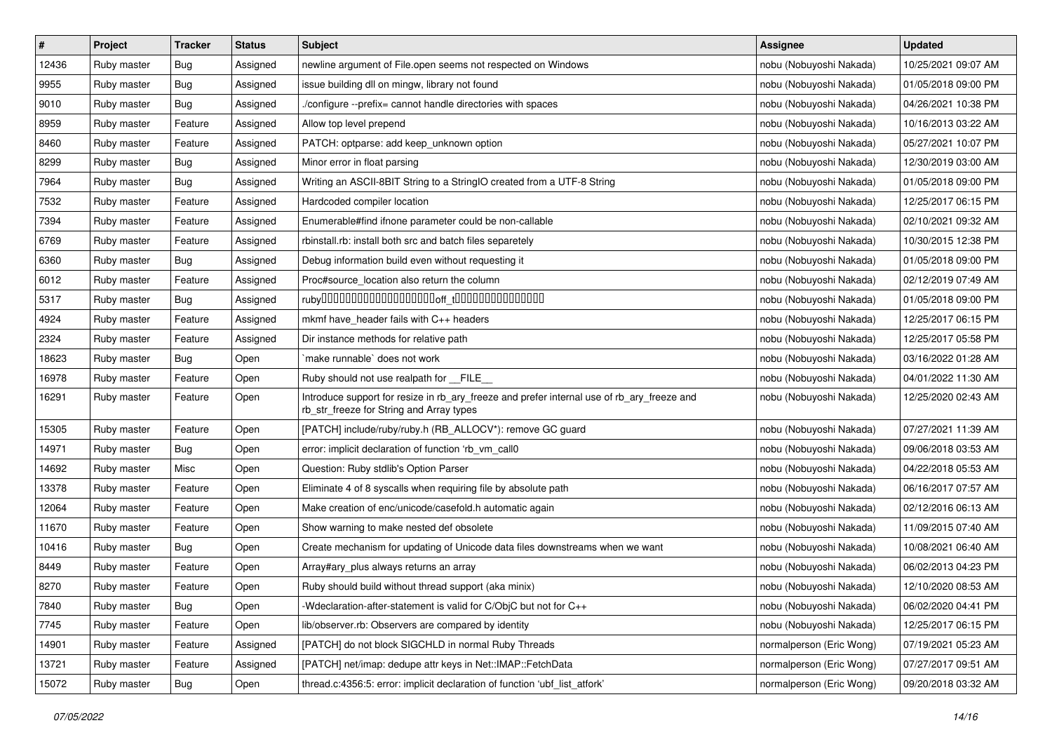| #     | Project     | <b>Tracker</b> | <b>Status</b> | <b>Subject</b>                                                                                                                         | Assignee                 | <b>Updated</b>      |
|-------|-------------|----------------|---------------|----------------------------------------------------------------------------------------------------------------------------------------|--------------------------|---------------------|
| 12436 | Ruby master | <b>Bug</b>     | Assigned      | newline argument of File.open seems not respected on Windows                                                                           | nobu (Nobuyoshi Nakada)  | 10/25/2021 09:07 AM |
| 9955  | Ruby master | Bug            | Assigned      | issue building dll on mingw, library not found                                                                                         | nobu (Nobuyoshi Nakada)  | 01/05/2018 09:00 PM |
| 9010  | Ruby master | Bug            | Assigned      | /configure --prefix= cannot handle directories with spaces                                                                             | nobu (Nobuyoshi Nakada)  | 04/26/2021 10:38 PM |
| 8959  | Ruby master | Feature        | Assigned      | Allow top level prepend                                                                                                                | nobu (Nobuyoshi Nakada)  | 10/16/2013 03:22 AM |
| 8460  | Ruby master | Feature        | Assigned      | PATCH: optparse: add keep_unknown option                                                                                               | nobu (Nobuyoshi Nakada)  | 05/27/2021 10:07 PM |
| 8299  | Ruby master | Bug            | Assigned      | Minor error in float parsing                                                                                                           | nobu (Nobuyoshi Nakada)  | 12/30/2019 03:00 AM |
| 7964  | Ruby master | Bug            | Assigned      | Writing an ASCII-8BIT String to a StringIO created from a UTF-8 String                                                                 | nobu (Nobuyoshi Nakada)  | 01/05/2018 09:00 PM |
| 7532  | Ruby master | Feature        | Assigned      | Hardcoded compiler location                                                                                                            | nobu (Nobuyoshi Nakada)  | 12/25/2017 06:15 PM |
| 7394  | Ruby master | Feature        | Assigned      | Enumerable#find ifnone parameter could be non-callable                                                                                 | nobu (Nobuyoshi Nakada)  | 02/10/2021 09:32 AM |
| 6769  | Ruby master | Feature        | Assigned      | rbinstall.rb: install both src and batch files separetely                                                                              | nobu (Nobuyoshi Nakada)  | 10/30/2015 12:38 PM |
| 6360  | Ruby master | Bug            | Assigned      | Debug information build even without requesting it                                                                                     | nobu (Nobuyoshi Nakada)  | 01/05/2018 09:00 PM |
| 6012  | Ruby master | Feature        | Assigned      | Proc#source_location also return the column                                                                                            | nobu (Nobuyoshi Nakada)  | 02/12/2019 07:49 AM |
| 5317  | Ruby master | Bug            | Assigned      |                                                                                                                                        | nobu (Nobuyoshi Nakada)  | 01/05/2018 09:00 PM |
| 4924  | Ruby master | Feature        | Assigned      | mkmf have_header fails with C++ headers                                                                                                | nobu (Nobuyoshi Nakada)  | 12/25/2017 06:15 PM |
| 2324  | Ruby master | Feature        | Assigned      | Dir instance methods for relative path                                                                                                 | nobu (Nobuyoshi Nakada)  | 12/25/2017 05:58 PM |
| 18623 | Ruby master | Bug            | Open          | make runnable' does not work                                                                                                           | nobu (Nobuyoshi Nakada)  | 03/16/2022 01:28 AM |
| 16978 | Ruby master | Feature        | Open          | Ruby should not use realpath for __FILE_                                                                                               | nobu (Nobuyoshi Nakada)  | 04/01/2022 11:30 AM |
| 16291 | Ruby master | Feature        | Open          | Introduce support for resize in rb_ary_freeze and prefer internal use of rb_ary_freeze and<br>rb_str_freeze for String and Array types | nobu (Nobuyoshi Nakada)  | 12/25/2020 02:43 AM |
| 15305 | Ruby master | Feature        | Open          | [PATCH] include/ruby/ruby.h (RB_ALLOCV*): remove GC guard                                                                              | nobu (Nobuyoshi Nakada)  | 07/27/2021 11:39 AM |
| 14971 | Ruby master | Bug            | Open          | error: implicit declaration of function 'rb_vm_call0                                                                                   | nobu (Nobuyoshi Nakada)  | 09/06/2018 03:53 AM |
| 14692 | Ruby master | Misc           | Open          | Question: Ruby stdlib's Option Parser                                                                                                  | nobu (Nobuyoshi Nakada)  | 04/22/2018 05:53 AM |
| 13378 | Ruby master | Feature        | Open          | Eliminate 4 of 8 syscalls when requiring file by absolute path                                                                         | nobu (Nobuyoshi Nakada)  | 06/16/2017 07:57 AM |
| 12064 | Ruby master | Feature        | Open          | Make creation of enc/unicode/casefold.h automatic again                                                                                | nobu (Nobuyoshi Nakada)  | 02/12/2016 06:13 AM |
| 11670 | Ruby master | Feature        | Open          | Show warning to make nested def obsolete                                                                                               | nobu (Nobuyoshi Nakada)  | 11/09/2015 07:40 AM |
| 10416 | Ruby master | Bug            | Open          | Create mechanism for updating of Unicode data files downstreams when we want                                                           | nobu (Nobuyoshi Nakada)  | 10/08/2021 06:40 AM |
| 8449  | Ruby master | Feature        | Open          | Array#ary_plus always returns an array                                                                                                 | nobu (Nobuyoshi Nakada)  | 06/02/2013 04:23 PM |
| 8270  | Ruby master | Feature        | Open          | Ruby should build without thread support (aka minix)                                                                                   | nobu (Nobuyoshi Nakada)  | 12/10/2020 08:53 AM |
| 7840  | Ruby master | Bug            | Open          | -Wdeclaration-after-statement is valid for C/ObjC but not for C++                                                                      | nobu (Nobuyoshi Nakada)  | 06/02/2020 04:41 PM |
| 7745  | Ruby master | Feature        | Open          | lib/observer.rb: Observers are compared by identity                                                                                    | nobu (Nobuyoshi Nakada)  | 12/25/2017 06:15 PM |
| 14901 | Ruby master | Feature        | Assigned      | [PATCH] do not block SIGCHLD in normal Ruby Threads                                                                                    | normalperson (Eric Wong) | 07/19/2021 05:23 AM |
| 13721 | Ruby master | Feature        | Assigned      | [PATCH] net/imap: dedupe attr keys in Net::IMAP::FetchData                                                                             | normalperson (Eric Wong) | 07/27/2017 09:51 AM |
| 15072 | Ruby master | <b>Bug</b>     | Open          | thread.c:4356:5: error: implicit declaration of function 'ubf_list_atfork'                                                             | normalperson (Eric Wong) | 09/20/2018 03:32 AM |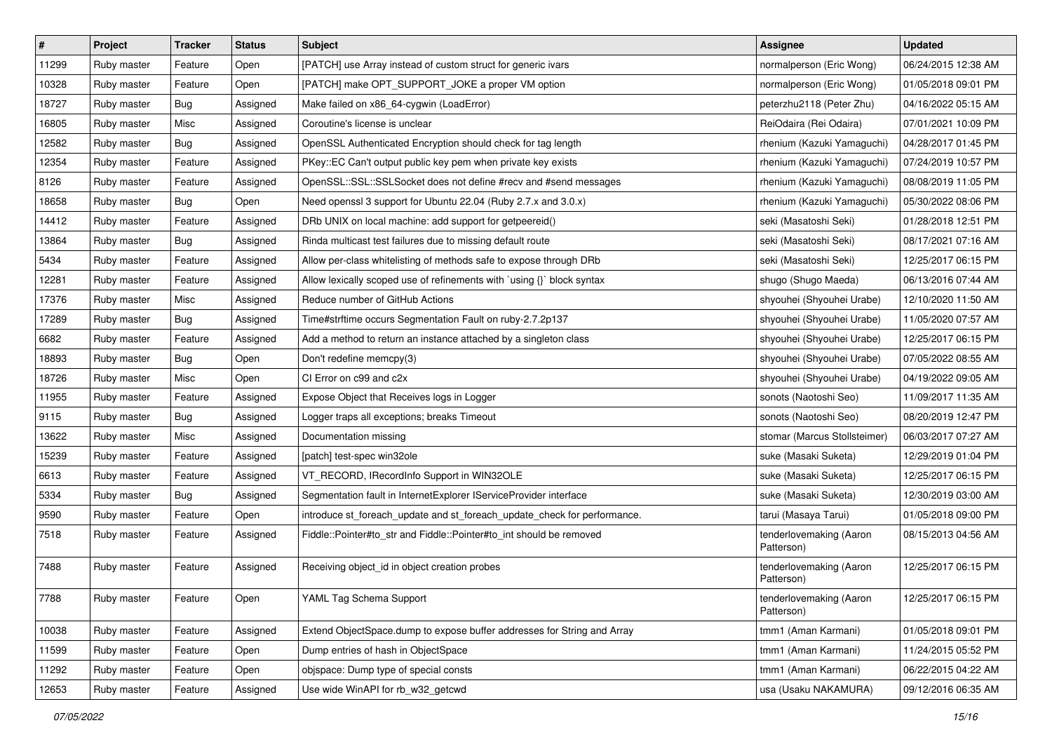| $\sharp$ | Project     | Tracker    | <b>Status</b> | <b>Subject</b>                                                           | <b>Assignee</b>                       | <b>Updated</b>      |
|----------|-------------|------------|---------------|--------------------------------------------------------------------------|---------------------------------------|---------------------|
| 11299    | Ruby master | Feature    | Open          | [PATCH] use Array instead of custom struct for generic ivars             | normalperson (Eric Wong)              | 06/24/2015 12:38 AM |
| 10328    | Ruby master | Feature    | Open          | [PATCH] make OPT_SUPPORT_JOKE a proper VM option                         | normalperson (Eric Wong)              | 01/05/2018 09:01 PM |
| 18727    | Ruby master | Bug        | Assigned      | Make failed on x86_64-cygwin (LoadError)                                 | peterzhu2118 (Peter Zhu)              | 04/16/2022 05:15 AM |
| 16805    | Ruby master | Misc       | Assigned      | Coroutine's license is unclear                                           | ReiOdaira (Rei Odaira)                | 07/01/2021 10:09 PM |
| 12582    | Ruby master | <b>Bug</b> | Assigned      | OpenSSL Authenticated Encryption should check for tag length             | rhenium (Kazuki Yamaguchi)            | 04/28/2017 01:45 PM |
| 12354    | Ruby master | Feature    | Assigned      | PKey::EC Can't output public key pem when private key exists             | rhenium (Kazuki Yamaguchi)            | 07/24/2019 10:57 PM |
| 8126     | Ruby master | Feature    | Assigned      | OpenSSL::SSL::SSLSocket does not define #recv and #send messages         | rhenium (Kazuki Yamaguchi)            | 08/08/2019 11:05 PM |
| 18658    | Ruby master | Bug        | Open          | Need openssl 3 support for Ubuntu 22.04 (Ruby 2.7.x and 3.0.x)           | rhenium (Kazuki Yamaguchi)            | 05/30/2022 08:06 PM |
| 14412    | Ruby master | Feature    | Assigned      | DRb UNIX on local machine: add support for getpeereid()                  | seki (Masatoshi Seki)                 | 01/28/2018 12:51 PM |
| 13864    | Ruby master | Bug        | Assigned      | Rinda multicast test failures due to missing default route               | seki (Masatoshi Seki)                 | 08/17/2021 07:16 AM |
| 5434     | Ruby master | Feature    | Assigned      | Allow per-class whitelisting of methods safe to expose through DRb       | seki (Masatoshi Seki)                 | 12/25/2017 06:15 PM |
| 12281    | Ruby master | Feature    | Assigned      | Allow lexically scoped use of refinements with `using {}` block syntax   | shugo (Shugo Maeda)                   | 06/13/2016 07:44 AM |
| 17376    | Ruby master | Misc       | Assigned      | Reduce number of GitHub Actions                                          | shyouhei (Shyouhei Urabe)             | 12/10/2020 11:50 AM |
| 17289    | Ruby master | <b>Bug</b> | Assigned      | Time#strftime occurs Segmentation Fault on ruby-2.7.2p137                | shyouhei (Shyouhei Urabe)             | 11/05/2020 07:57 AM |
| 6682     | Ruby master | Feature    | Assigned      | Add a method to return an instance attached by a singleton class         | shyouhei (Shyouhei Urabe)             | 12/25/2017 06:15 PM |
| 18893    | Ruby master | Bug        | Open          | Don't redefine memcpy(3)                                                 | shyouhei (Shyouhei Urabe)             | 07/05/2022 08:55 AM |
| 18726    | Ruby master | Misc       | Open          | CI Error on c99 and c2x                                                  | shyouhei (Shyouhei Urabe)             | 04/19/2022 09:05 AM |
| 11955    | Ruby master | Feature    | Assigned      | Expose Object that Receives logs in Logger                               | sonots (Naotoshi Seo)                 | 11/09/2017 11:35 AM |
| 9115     | Ruby master | <b>Bug</b> | Assigned      | Logger traps all exceptions; breaks Timeout                              | sonots (Naotoshi Seo)                 | 08/20/2019 12:47 PM |
| 13622    | Ruby master | Misc       | Assigned      | Documentation missing                                                    | stomar (Marcus Stollsteimer)          | 06/03/2017 07:27 AM |
| 15239    | Ruby master | Feature    | Assigned      | [patch] test-spec win32ole                                               | suke (Masaki Suketa)                  | 12/29/2019 01:04 PM |
| 6613     | Ruby master | Feature    | Assigned      | VT_RECORD, IRecordInfo Support in WIN32OLE                               | suke (Masaki Suketa)                  | 12/25/2017 06:15 PM |
| 5334     | Ruby master | Bug        | Assigned      | Segmentation fault in InternetExplorer IServiceProvider interface        | suke (Masaki Suketa)                  | 12/30/2019 03:00 AM |
| 9590     | Ruby master | Feature    | Open          | introduce st_foreach_update and st_foreach_update_check for performance. | tarui (Masaya Tarui)                  | 01/05/2018 09:00 PM |
| 7518     | Ruby master | Feature    | Assigned      | Fiddle::Pointer#to_str and Fiddle::Pointer#to_int should be removed      | tenderlovemaking (Aaron<br>Patterson) | 08/15/2013 04:56 AM |
| 7488     | Ruby master | Feature    | Assigned      | Receiving object_id in object creation probes                            | tenderlovemaking (Aaron<br>Patterson) | 12/25/2017 06:15 PM |
| 7788     | Ruby master | Feature    | Open          | YAML Tag Schema Support                                                  | tenderlovemaking (Aaron<br>Patterson) | 12/25/2017 06:15 PM |
| 10038    | Ruby master | Feature    | Assigned      | Extend ObjectSpace.dump to expose buffer addresses for String and Array  | tmm1 (Aman Karmani)                   | 01/05/2018 09:01 PM |
| 11599    | Ruby master | Feature    | Open          | Dump entries of hash in ObjectSpace                                      | tmm1 (Aman Karmani)                   | 11/24/2015 05:52 PM |
| 11292    | Ruby master | Feature    | Open          | objspace: Dump type of special consts                                    | tmm1 (Aman Karmani)                   | 06/22/2015 04:22 AM |
| 12653    | Ruby master | Feature    | Assigned      | Use wide WinAPI for rb_w32_getcwd                                        | usa (Usaku NAKAMURA)                  | 09/12/2016 06:35 AM |